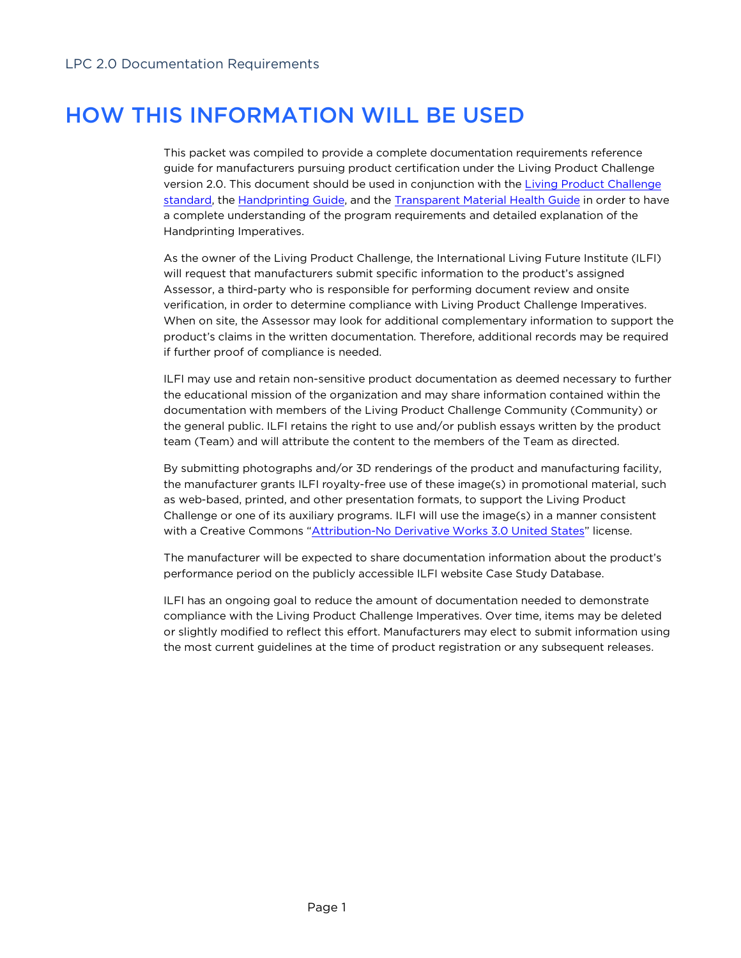# HOW THIS INFORMATION WILL BE USED

This packet was compiled to provide a complete documentation requirements reference guide for manufacturers pursuing product certification under the Living Product Challenge version 2.0. This document should be used in conjunction with the Living Product Challenge standard, the Handprinting Guide, and the Transparent Material Health Guide in order to have a complete understanding of the program requirements and detailed explanation of the Handprinting Imperatives.

As the owner of the Living Product Challenge, the International Living Future Institute (ILFI) will request that manufacturers submit specific information to the product's assigned Assessor, a third-party who is responsible for performing document review and onsite verification, in order to determine compliance with Living Product Challenge Imperatives. When on site, the Assessor may look for additional complementary information to support the product's claims in the written documentation. Therefore, additional records may be required if further proof of compliance is needed.

ILFI may use and retain non-sensitive product documentation as deemed necessary to further the educational mission of the organization and may share information contained within the documentation with members of the Living Product Challenge Community (Community) or the general public. ILFI retains the right to use and/or publish essays written by the product team (Team) and will attribute the content to the members of the Team as directed.

By submitting photographs and/or 3D renderings of the product and manufacturing facility, the manufacturer grants ILFI royalty-free use of these image(s) in promotional material, such as web-based, printed, and other presentation formats, to support the Living Product Challenge or one of its auxiliary programs. ILFI will use the image(s) in a manner consistent with a Creative Commons "Attribution-No Derivative Works 3.0 United States" license.

The manufacturer will be expected to share documentation information about the product's performance period on the publicly accessible ILFI website Case Study Database.

ILFI has an ongoing goal to reduce the amount of documentation needed to demonstrate compliance with the Living Product Challenge Imperatives. Over time, items may be deleted or slightly modified to reflect this effort. Manufacturers may elect to submit information using the most current guidelines at the time of product registration or any subsequent releases.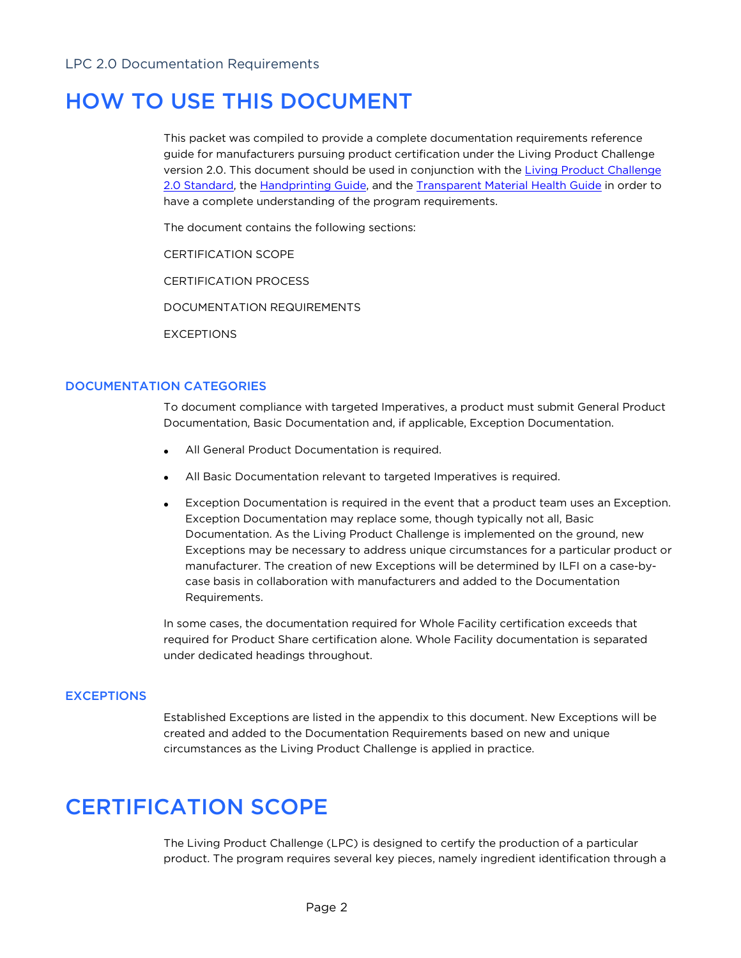# HOW TO USE THIS DOCUMENT

This packet was compiled to provide a complete documentation requirements reference guide for manufacturers pursuing product certification under the Living Product Challenge version 2.0. This document should be used in conjunction with the Living Product Challenge 2.0 Standard, the Handprinting Guide, and the Transparent Material Health Guide in order to have a complete understanding of the program requirements.

The document contains the following sections:

CERTIFICATION SCOPE

CERTIFICATION PROCESS

DOCUMENTATION REQUIREMENTS

EXCEPTIONS

# DOCUMENTATION CATEGORIES

To document compliance with targeted Imperatives, a product must submit General Product Documentation, Basic Documentation and, if applicable, Exception Documentation.

- All General Product Documentation is required.
- All Basic Documentation relevant to targeted Imperatives is required.
- Exception Documentation is required in the event that a product team uses an Exception. Exception Documentation may replace some, though typically not all, Basic Documentation. As the Living Product Challenge is implemented on the ground, new Exceptions may be necessary to address unique circumstances for a particular product or manufacturer. The creation of new Exceptions will be determined by ILFI on a case-bycase basis in collaboration with manufacturers and added to the Documentation Requirements.

In some cases, the documentation required for Whole Facility certification exceeds that required for Product Share certification alone. Whole Facility documentation is separated under dedicated headings throughout.

### **EXCEPTIONS**

Established Exceptions are listed in the appendix to this document. New Exceptions will be created and added to the Documentation Requirements based on new and unique circumstances as the Living Product Challenge is applied in practice.

# CERTIFICATION SCOPE

The Living Product Challenge (LPC) is designed to certify the production of a particular product. The program requires several key pieces, namely ingredient identification through a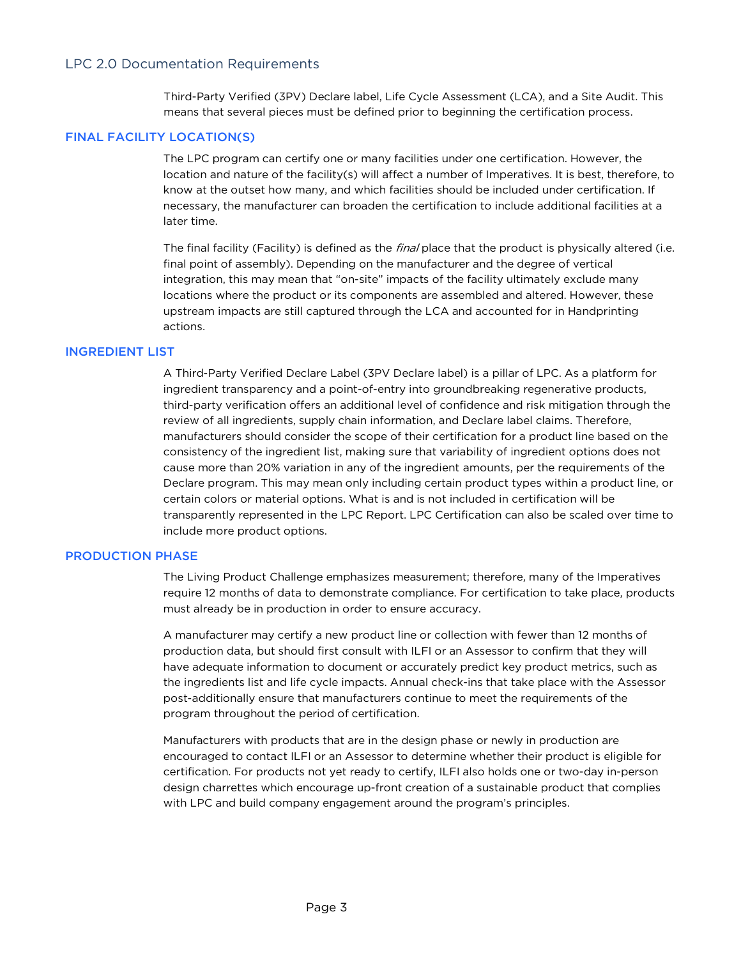Third-Party Verified (3PV) Declare label, Life Cycle Assessment (LCA), and a Site Audit. This means that several pieces must be defined prior to beginning the certification process.

#### FINAL FACILITY LOCATION(S)

The LPC program can certify one or many facilities under one certification. However, the location and nature of the facility(s) will affect a number of Imperatives. It is best, therefore, to know at the outset how many, and which facilities should be included under certification. If necessary, the manufacturer can broaden the certification to include additional facilities at a later time.

The final facility (Facility) is defined as the *final* place that the product is physically altered (i.e. final point of assembly). Depending on the manufacturer and the degree of vertical integration, this may mean that "on-site" impacts of the facility ultimately exclude many locations where the product or its components are assembled and altered. However, these upstream impacts are still captured through the LCA and accounted for in Handprinting actions.

#### INGREDIENT LIST

A Third-Party Verified Declare Label (3PV Declare label) is a pillar of LPC. As a platform for ingredient transparency and a point-of-entry into groundbreaking regenerative products, third-party verification offers an additional level of confidence and risk mitigation through the review of all ingredients, supply chain information, and Declare label claims. Therefore, manufacturers should consider the scope of their certification for a product line based on the consistency of the ingredient list, making sure that variability of ingredient options does not cause more than 20% variation in any of the ingredient amounts, per the requirements of the Declare program. This may mean only including certain product types within a product line, or certain colors or material options. What is and is not included in certification will be transparently represented in the LPC Report. LPC Certification can also be scaled over time to include more product options.

#### PRODUCTION PHASE

The Living Product Challenge emphasizes measurement; therefore, many of the Imperatives require 12 months of data to demonstrate compliance. For certification to take place, products must already be in production in order to ensure accuracy.

A manufacturer may certify a new product line or collection with fewer than 12 months of production data, but should first consult with ILFI or an Assessor to confirm that they will have adequate information to document or accurately predict key product metrics, such as the ingredients list and life cycle impacts. Annual check-ins that take place with the Assessor post-additionally ensure that manufacturers continue to meet the requirements of the program throughout the period of certification.

Manufacturers with products that are in the design phase or newly in production are encouraged to contact ILFI or an Assessor to determine whether their product is eligible for certification. For products not yet ready to certify, ILFI also holds one or two-day in-person design charrettes which encourage up-front creation of a sustainable product that complies with LPC and build company engagement around the program's principles.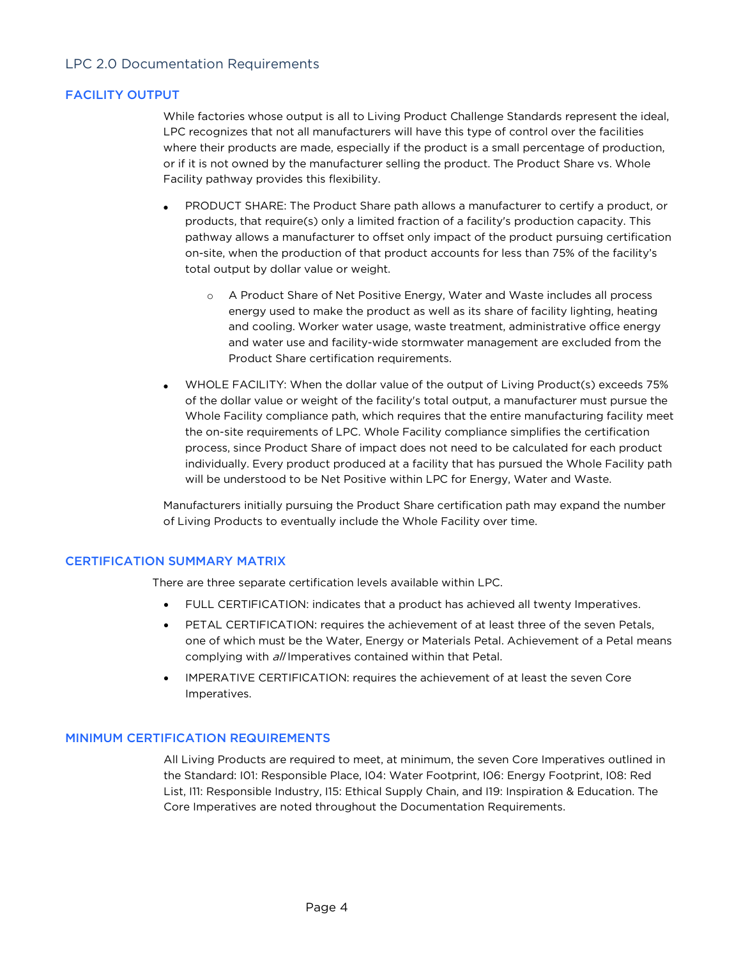# FACILITY OUTPUT

While factories whose output is all to Living Product Challenge Standards represent the ideal, LPC recognizes that not all manufacturers will have this type of control over the facilities where their products are made, especially if the product is a small percentage of production, or if it is not owned by the manufacturer selling the product. The Product Share vs. Whole Facility pathway provides this flexibility.

- PRODUCT SHARE: The Product Share path allows a manufacturer to certify a product, or products, that require(s) only a limited fraction of a facility's production capacity. This pathway allows a manufacturer to offset only impact of the product pursuing certification on-site, when the production of that product accounts for less than 75% of the facility's total output by dollar value or weight.
	- o A Product Share of Net Positive Energy, Water and Waste includes all process energy used to make the product as well as its share of facility lighting, heating and cooling. Worker water usage, waste treatment, administrative office energy and water use and facility-wide stormwater management are excluded from the Product Share certification requirements.
- WHOLE FACILITY: When the dollar value of the output of Living Product(s) exceeds 75% of the dollar value or weight of the facility's total output, a manufacturer must pursue the Whole Facility compliance path, which requires that the entire manufacturing facility meet the on-site requirements of LPC. Whole Facility compliance simplifies the certification process, since Product Share of impact does not need to be calculated for each product individually. Every product produced at a facility that has pursued the Whole Facility path will be understood to be Net Positive within LPC for Energy, Water and Waste.

Manufacturers initially pursuing the Product Share certification path may expand the number of Living Products to eventually include the Whole Facility over time.

### CERTIFICATION SUMMARY MATRIX

There are three separate certification levels available within LPC.

- FULL CERTIFICATION: indicates that a product has achieved all twenty Imperatives.
- PETAL CERTIFICATION: requires the achievement of at least three of the seven Petals, one of which must be the Water, Energy or Materials Petal. Achievement of a Petal means complying with all Imperatives contained within that Petal.
- IMPERATIVE CERTIFICATION: requires the achievement of at least the seven Core Imperatives.

### MINIMUM CERTIFICATION REQUIREMENTS

All Living Products are required to meet, at minimum, the seven Core Imperatives outlined in the Standard: I01: Responsible Place, I04: Water Footprint, I06: Energy Footprint, I08: Red List, I11: Responsible Industry, I15: Ethical Supply Chain, and I19: Inspiration & Education. The Core Imperatives are noted throughout the Documentation Requirements.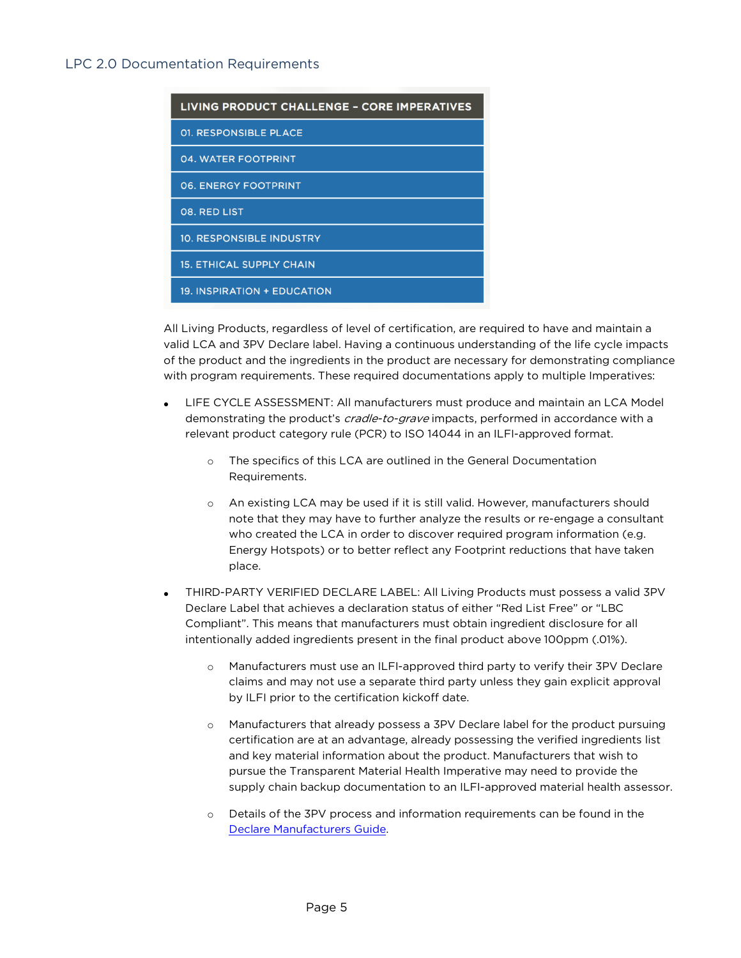| <b>LIVING PRODUCT CHALLENGE - CORE IMPERATIVES</b> |
|----------------------------------------------------|
| <b>01. RESPONSIBLE PLACE</b>                       |
| 04. WATER FOOTPRINT                                |
| <b>06. ENERGY FOOTPRINT</b>                        |
| 08. RED LIST                                       |
| <b>10. RESPONSIBLE INDUSTRY</b>                    |
| <b>15. ETHICAL SUPPLY CHAIN</b>                    |
| 19. INSPIRATION + EDUCATION                        |
|                                                    |

All Living Products, regardless of level of certification, are required to have and maintain a valid LCA and 3PV Declare label. Having a continuous understanding of the life cycle impacts of the product and the ingredients in the product are necessary for demonstrating compliance with program requirements. These required documentations apply to multiple Imperatives:

- LIFE CYCLE ASSESSMENT: All manufacturers must produce and maintain an LCA Model demonstrating the product's *cradle-to-grave* impacts, performed in accordance with a relevant product category rule (PCR) to ISO 14044 in an ILFI-approved format.
	- o The specifics of this LCA are outlined in the General Documentation Requirements.
	- o An existing LCA may be used if it is still valid. However, manufacturers should note that they may have to further analyze the results or re-engage a consultant who created the LCA in order to discover required program information (e.g. Energy Hotspots) or to better reflect any Footprint reductions that have taken place.
- THIRD-PARTY VERIFIED DECLARE LABEL: All Living Products must possess a valid 3PV Declare Label that achieves a declaration status of either "Red List Free" or "LBC Compliant". This means that manufacturers must obtain ingredient disclosure for all intentionally added ingredients present in the final product above 100ppm (.01%).
	- o Manufacturers must use an ILFI-approved third party to verify their 3PV Declare claims and may not use a separate third party unless they gain explicit approval by ILFI prior to the certification kickoff date.
	- o Manufacturers that already possess a 3PV Declare label for the product pursuing certification are at an advantage, already possessing the verified ingredients list and key material information about the product. Manufacturers that wish to pursue the Transparent Material Health Imperative may need to provide the supply chain backup documentation to an ILFI-approved material health assessor.
	- o Details of the 3PV process and information requirements can be found in the Declare Manufacturers Guide.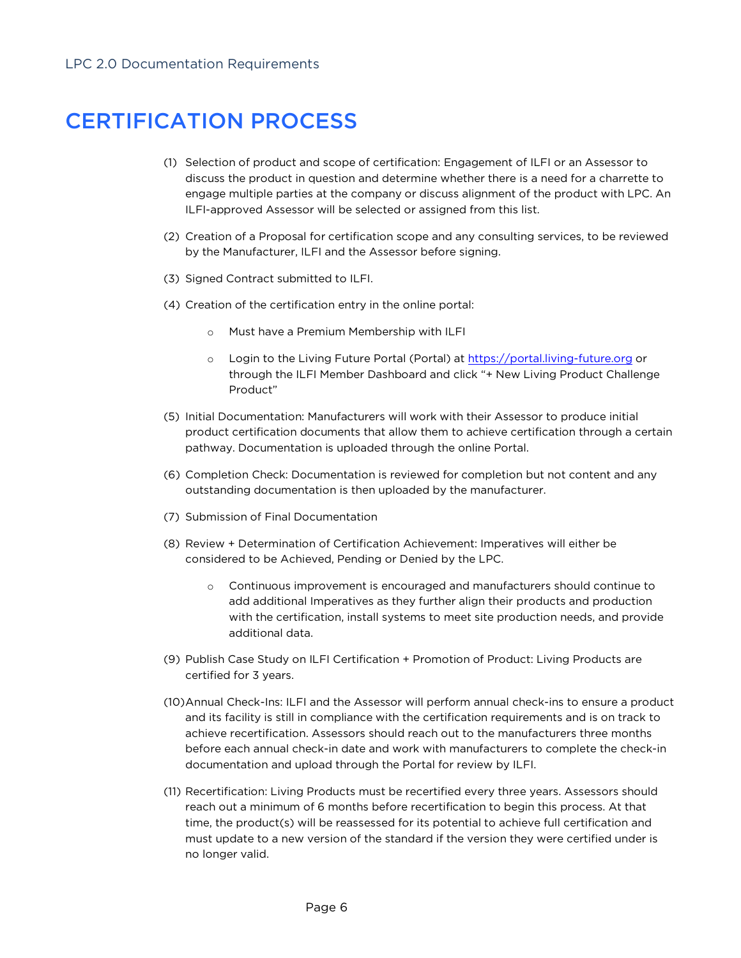# CERTIFICATION PROCESS

- (1) Selection of product and scope of certification: Engagement of ILFI or an Assessor to discuss the product in question and determine whether there is a need for a charrette to engage multiple parties at the company or discuss alignment of the product with LPC. An ILFI-approved Assessor will be selected or assigned from this list.
- (2) Creation of a Proposal for certification scope and any consulting services, to be reviewed by the Manufacturer, ILFI and the Assessor before signing.
- (3) Signed Contract submitted to ILFI.
- (4) Creation of the certification entry in the online portal:
	- o Must have a Premium Membership with ILFI
	- o Login to the Living Future Portal (Portal) at https://portal.living-future.org or through the ILFI Member Dashboard and click "+ New Living Product Challenge Product"
- (5) Initial Documentation: Manufacturers will work with their Assessor to produce initial product certification documents that allow them to achieve certification through a certain pathway. Documentation is uploaded through the online Portal.
- (6) Completion Check: Documentation is reviewed for completion but not content and any outstanding documentation is then uploaded by the manufacturer.
- (7) Submission of Final Documentation
- (8) Review + Determination of Certification Achievement: Imperatives will either be considered to be Achieved, Pending or Denied by the LPC.
	- o Continuous improvement is encouraged and manufacturers should continue to add additional Imperatives as they further align their products and production with the certification, install systems to meet site production needs, and provide additional data.
- (9) Publish Case Study on ILFI Certification + Promotion of Product: Living Products are certified for 3 years.
- (10)Annual Check-Ins: ILFI and the Assessor will perform annual check-ins to ensure a product and its facility is still in compliance with the certification requirements and is on track to achieve recertification. Assessors should reach out to the manufacturers three months before each annual check-in date and work with manufacturers to complete the check-in documentation and upload through the Portal for review by ILFI.
- (11) Recertification: Living Products must be recertified every three years. Assessors should reach out a minimum of 6 months before recertification to begin this process. At that time, the product(s) will be reassessed for its potential to achieve full certification and must update to a new version of the standard if the version they were certified under is no longer valid.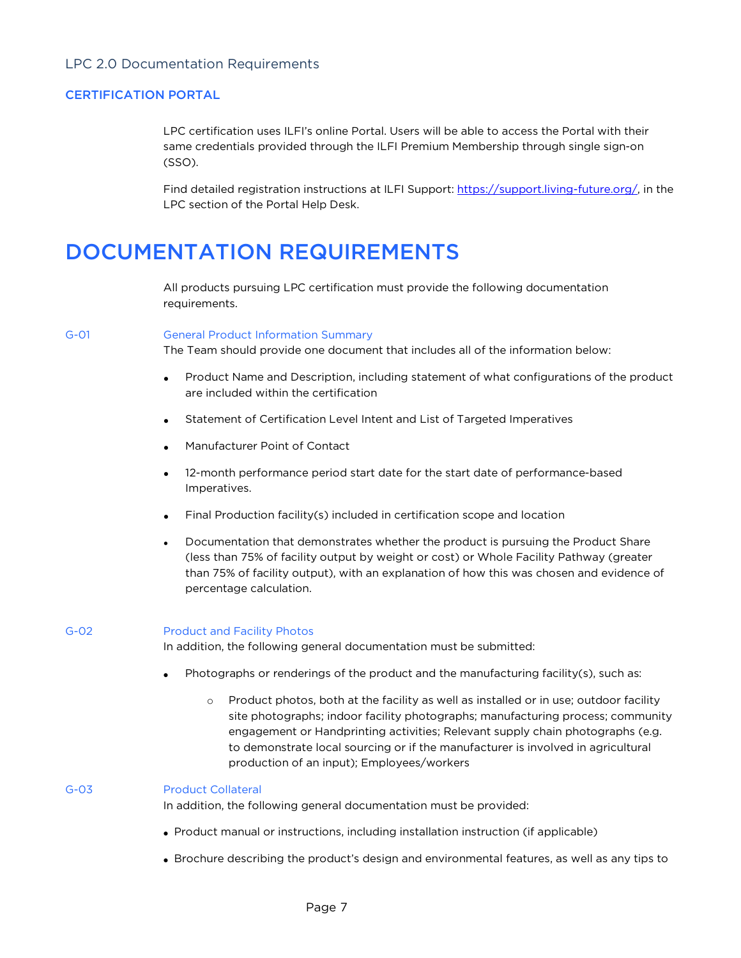### CERTIFICATION PORTAL

LPC certification uses ILFI's online Portal. Users will be able to access the Portal with their same credentials provided through the ILFI Premium Membership through single sign-on (SSO).

Find detailed registration instructions at ILFI Support: https://support.living-future.org/, in the LPC section of the Portal Help Desk.

# DOCUMENTATION REQUIREMENTS

All products pursuing LPC certification must provide the following documentation requirements.

#### G-01 General Product Information Summary

The Team should provide one document that includes all of the information below:

- Product Name and Description, including statement of what configurations of the product are included within the certification
- Statement of Certification Level Intent and List of Targeted Imperatives
- Manufacturer Point of Contact
- 12-month performance period start date for the start date of performance-based Imperatives.
- Final Production facility(s) included in certification scope and location
- Documentation that demonstrates whether the product is pursuing the Product Share (less than 75% of facility output by weight or cost) or Whole Facility Pathway (greater than 75% of facility output), with an explanation of how this was chosen and evidence of percentage calculation.

#### G-02 Product and Facility Photos

In addition, the following general documentation must be submitted:

- Photographs or renderings of the product and the manufacturing facility(s), such as:
	- o Product photos, both at the facility as well as installed or in use; outdoor facility site photographs; indoor facility photographs; manufacturing process; community engagement or Handprinting activities; Relevant supply chain photographs (e.g. to demonstrate local sourcing or if the manufacturer is involved in agricultural production of an input); Employees/workers

#### G-03 Product Collateral

In addition, the following general documentation must be provided:

- Product manual or instructions, including installation instruction (if applicable)
- Brochure describing the product's design and environmental features, as well as any tips to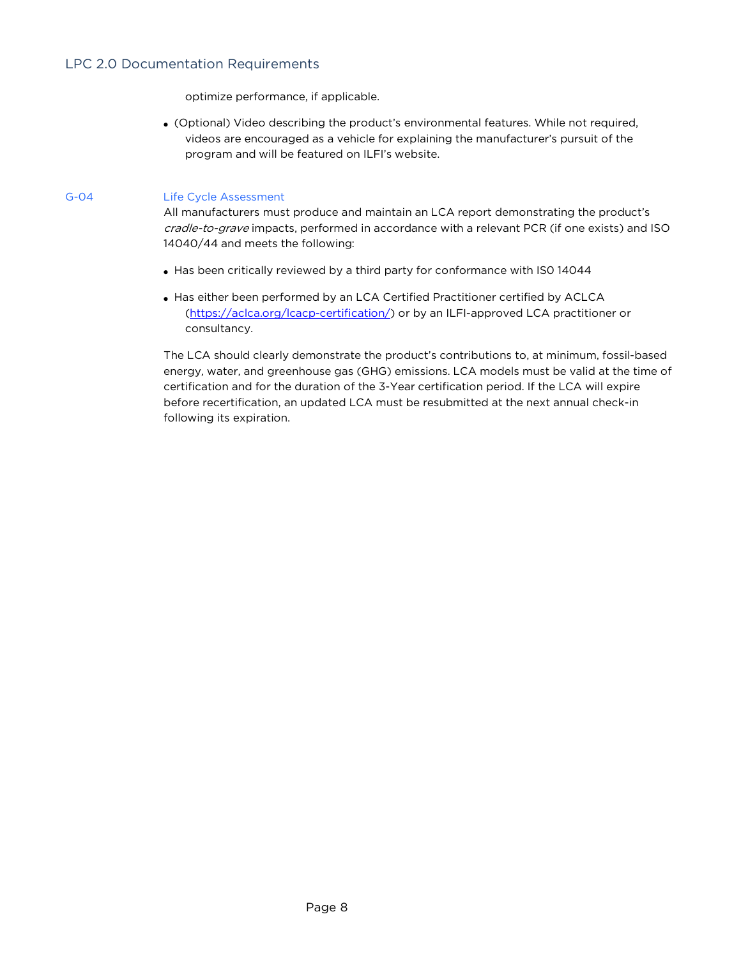optimize performance, if applicable.

• (Optional) Video describing the product's environmental features. While not required, videos are encouraged as a vehicle for explaining the manufacturer's pursuit of the program and will be featured on ILFI's website.

### G-04 Life Cycle Assessment

All manufacturers must produce and maintain an LCA report demonstrating the product's cradle-to-grave impacts, performed in accordance with a relevant PCR (if one exists) and ISO 14040/44 and meets the following:

- Has been critically reviewed by a third party for conformance with IS0 14044
- Has either been performed by an LCA Certified Practitioner certified by ACLCA (https://aclca.org/lcacp-certification/) or by an ILFI-approved LCA practitioner or consultancy.

The LCA should clearly demonstrate the product's contributions to, at minimum, fossil-based energy, water, and greenhouse gas (GHG) emissions. LCA models must be valid at the time of certification and for the duration of the 3-Year certification period. If the LCA will expire before recertification, an updated LCA must be resubmitted at the next annual check-in following its expiration.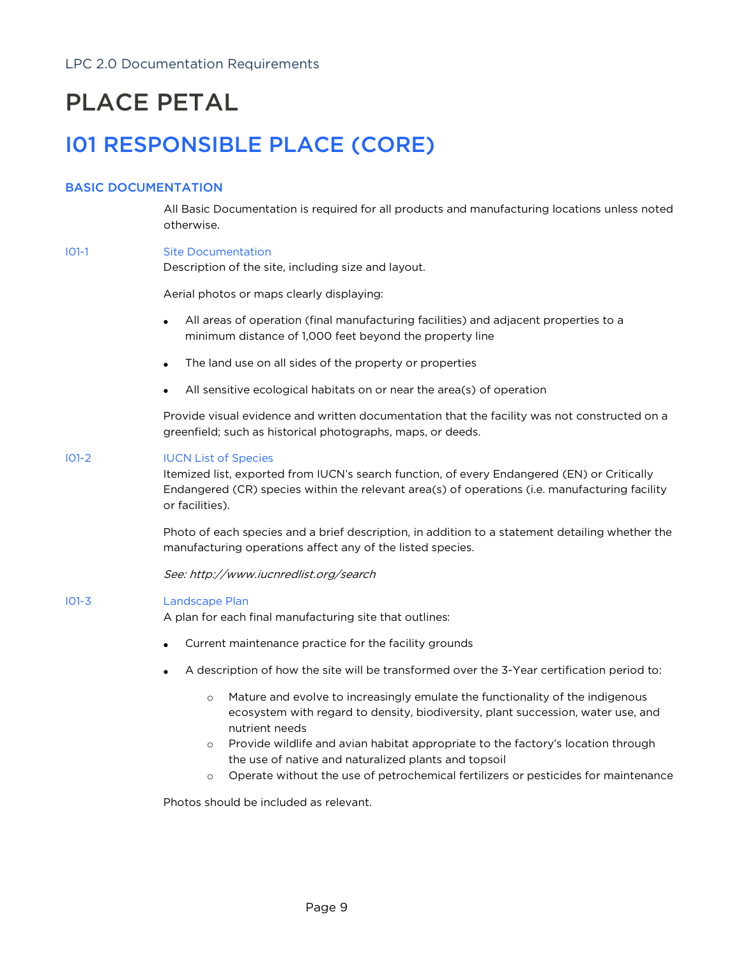# PLACE PETAL

# I01 RESPONSIBLE PLACE (CORE)

# BASIC DOCUMENTATION

All Basic Documentation is required for all products and manufacturing locations unless noted otherwise.

### I01-1 Site Documentation

Description of the site, including size and layout.

Aerial photos or maps clearly displaying:

- All areas of operation (final manufacturing facilities) and adjacent properties to a minimum distance of 1,000 feet beyond the property line
- The land use on all sides of the property or properties
- All sensitive ecological habitats on or near the area(s) of operation

Provide visual evidence and written documentation that the facility was not constructed on a greenfield; such as historical photographs, maps, or deeds.

#### I01-2 IUCN List of Species

Itemized list, exported from IUCN's search function, of every Endangered (EN) or Critically Endangered (CR) species within the relevant area(s) of operations (i.e. manufacturing facility or facilities).

Photo of each species and a brief description, in addition to a statement detailing whether the manufacturing operations affect any of the listed species.

See: http://www.iucnredlist.org/search

#### I01-3 Landscape Plan

A plan for each final manufacturing site that outlines:

- Current maintenance practice for the facility grounds
- A description of how the site will be transformed over the 3-Year certification period to:
	- o Mature and evolve to increasingly emulate the functionality of the indigenous ecosystem with regard to density, biodiversity, plant succession, water use, and nutrient needs
	- o Provide wildlife and avian habitat appropriate to the factory's location through the use of native and naturalized plants and topsoil
	- o Operate without the use of petrochemical fertilizers or pesticides for maintenance

Photos should be included as relevant.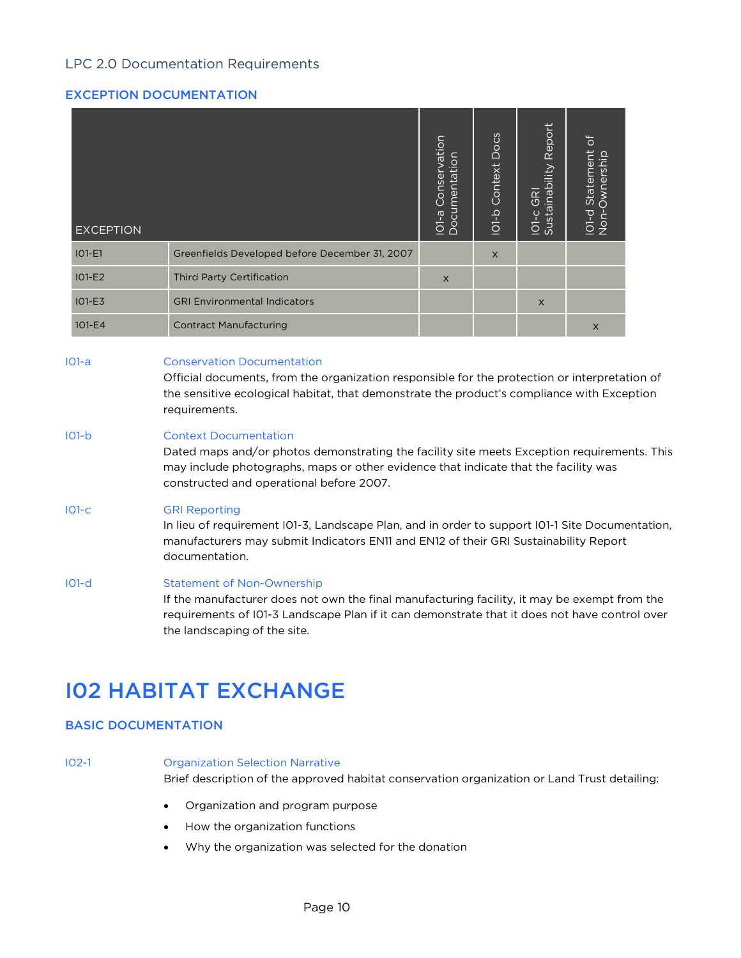# EXCEPTION DOCUMENTATION

| <b>EXCEPTION</b> |                                                                                                                                                                                                                                                   | IO1-a Conservation<br>Documentation | <b>IO1-b Context Docs</b> | IO1-c GRI<br>Sustainability Report | $\frac{1}{\sqrt{2}}$<br>IO1-d Statement<br>Non-Ownership |  |
|------------------|---------------------------------------------------------------------------------------------------------------------------------------------------------------------------------------------------------------------------------------------------|-------------------------------------|---------------------------|------------------------------------|----------------------------------------------------------|--|
| $IO1-E1$         | Greenfields Developed before December 31, 2007                                                                                                                                                                                                    |                                     | $\times$                  |                                    |                                                          |  |
| $IO1-E2$         | <b>Third Party Certification</b>                                                                                                                                                                                                                  | $\times$                            |                           |                                    |                                                          |  |
| $IO1-E3$         | <b>GRI Environmental Indicators</b>                                                                                                                                                                                                               |                                     |                           | $\times$                           |                                                          |  |
| 101-E4           | <b>Contract Manufacturing</b>                                                                                                                                                                                                                     |                                     |                           |                                    | X                                                        |  |
| $IO1-a$          | <b>Conservation Documentation</b><br>Official documents, from the organization responsible for the protection or interpretation of<br>the sensitive ecological habitat, that demonstrate the product's compliance with Exception<br>requirements. |                                     |                           |                                    |                                                          |  |
| $101-b$          | <b>Context Documentation</b>                                                                                                                                                                                                                      |                                     |                           |                                    |                                                          |  |

Dated maps and/or photos demonstrating the facility site meets Exception requirements. This may include photographs, maps or other evidence that indicate that the facility was constructed and operational before 2007.

### I01-c GRI Reporting

In lieu of requirement I01-3, Landscape Plan, and in order to support I01-1 Site Documentation, manufacturers may submit Indicators EN11 and EN12 of their GRI Sustainability Report documentation.

#### I01-d Statement of Non-Ownership

If the manufacturer does not own the final manufacturing facility, it may be exempt from the requirements of I01-3 Landscape Plan if it can demonstrate that it does not have control over the landscaping of the site.

# I02 HABITAT EXCHANGE

# BASIC DOCUMENTATION

I02-1 Organization Selection Narrative

Brief description of the approved habitat conservation organization or Land Trust detailing:

- Organization and program purpose
- How the organization functions
- Why the organization was selected for the donation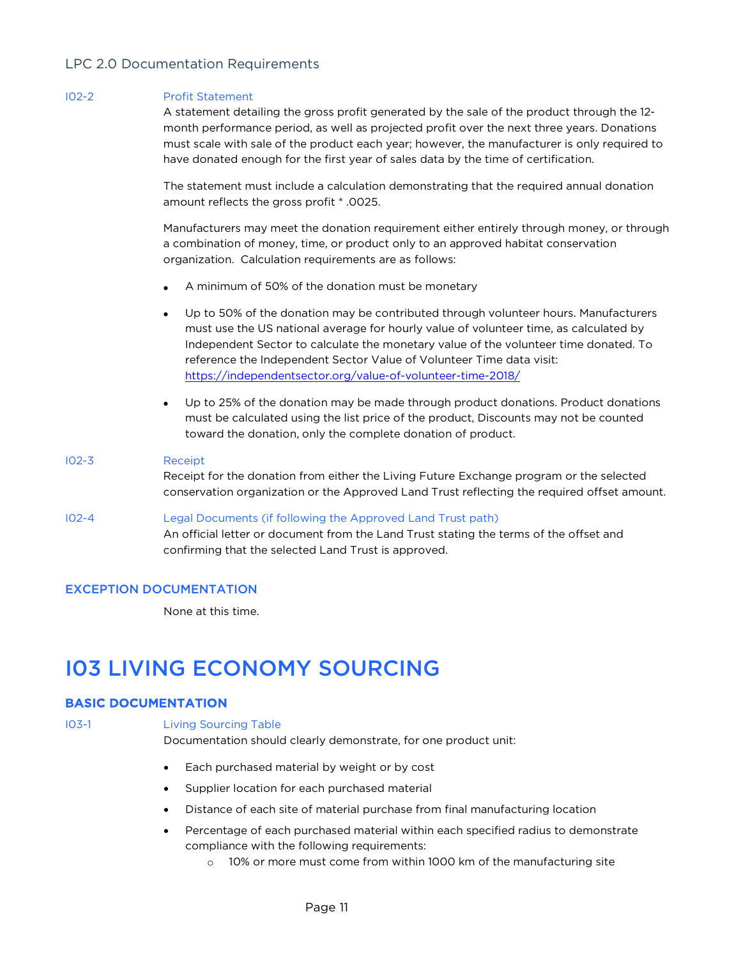#### I02-2 Profit Statement

A statement detailing the gross profit generated by the sale of the product through the 12 month performance period, as well as projected profit over the next three years. Donations must scale with sale of the product each year; however, the manufacturer is only required to have donated enough for the first year of sales data by the time of certification.

The statement must include a calculation demonstrating that the required annual donation amount reflects the gross profit \* .0025.

Manufacturers may meet the donation requirement either entirely through money, or through a combination of money, time, or product only to an approved habitat conservation organization. Calculation requirements are as follows:

- A minimum of 50% of the donation must be monetary
- Up to 50% of the donation may be contributed through volunteer hours. Manufacturers must use the US national average for hourly value of volunteer time, as calculated by Independent Sector to calculate the monetary value of the volunteer time donated. To reference the Independent Sector Value of Volunteer Time data visit: https://independentsector.org/value-of-volunteer-time-2018/
- Up to 25% of the donation may be made through product donations. Product donations must be calculated using the list price of the product, Discounts may not be counted toward the donation, only the complete donation of product.

#### I02-3 Receipt

Receipt for the donation from either the Living Future Exchange program or the selected conservation organization or the Approved Land Trust reflecting the required offset amount.

I02-4 Legal Documents (if following the Approved Land Trust path) An official letter or document from the Land Trust stating the terms of the offset and confirming that the selected Land Trust is approved.

### EXCEPTION DOCUMENTATION

None at this time.

# I03 LIVING ECONOMY SOURCING

# BASIC DOCUMENTATION

# I03-1 Living Sourcing Table

Documentation should clearly demonstrate, for one product unit:

- Each purchased material by weight or by cost
- Supplier location for each purchased material
- Distance of each site of material purchase from final manufacturing location
- Percentage of each purchased material within each specified radius to demonstrate compliance with the following requirements:
	- o 10% or more must come from within 1000 km of the manufacturing site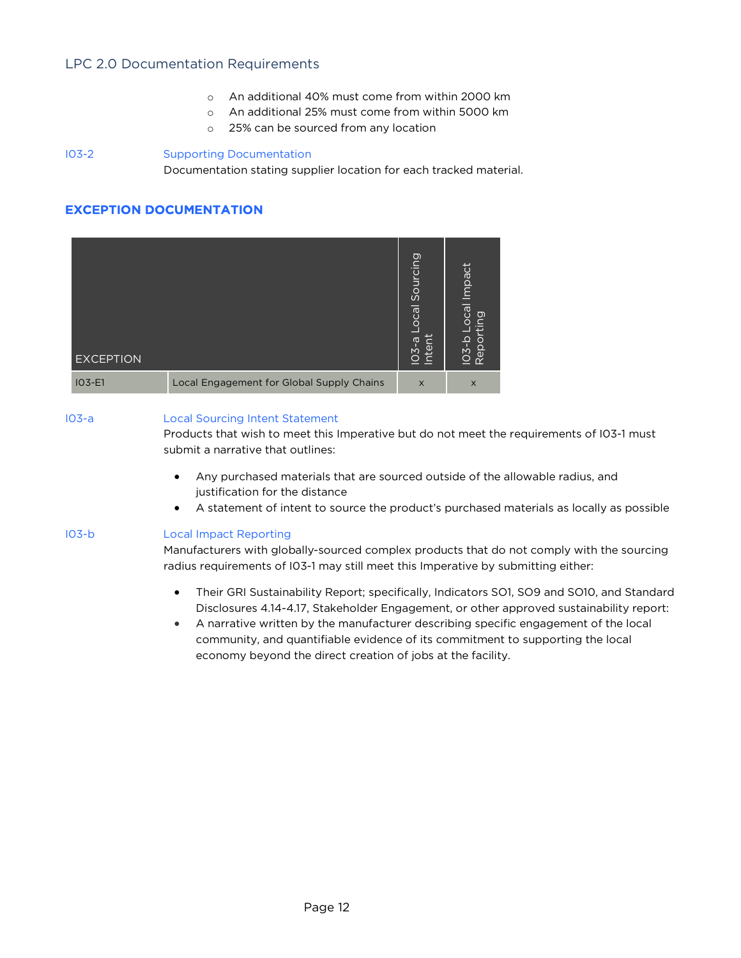- o An additional 40% must come from within 2000 km
- o An additional 25% must come from within 5000 km
- o 25% can be sourced from any location

I03-2 Supporting Documentation Documentation stating supplier location for each tracked material.

# EXCEPTION DOCUMENTATION

| <b>EXCEPTION</b> |                                           | Sourcing<br>.ocal<br>O3-al | Impact<br>$\overline{c}$<br>তা<br>$\subset$<br>$103 - b$<br>Repor |
|------------------|-------------------------------------------|----------------------------|-------------------------------------------------------------------|
| $IO3-E1$         | Local Engagement for Global Supply Chains | $\times$                   | $\times$                                                          |

# I03-a Local Sourcing Intent Statement

Products that wish to meet this Imperative but do not meet the requirements of I03-1 must submit a narrative that outlines:

- Any purchased materials that are sourced outside of the allowable radius, and justification for the distance
- A statement of intent to source the product's purchased materials as locally as possible

# I03-b Local Impact Reporting

Manufacturers with globally-sourced complex products that do not comply with the sourcing radius requirements of I03-1 may still meet this Imperative by submitting either:

- Their GRI Sustainability Report; specifically, Indicators SO1, SO9 and SO10, and Standard Disclosures 4.14-4.17, Stakeholder Engagement, or other approved sustainability report:
- A narrative written by the manufacturer describing specific engagement of the local community, and quantifiable evidence of its commitment to supporting the local economy beyond the direct creation of jobs at the facility.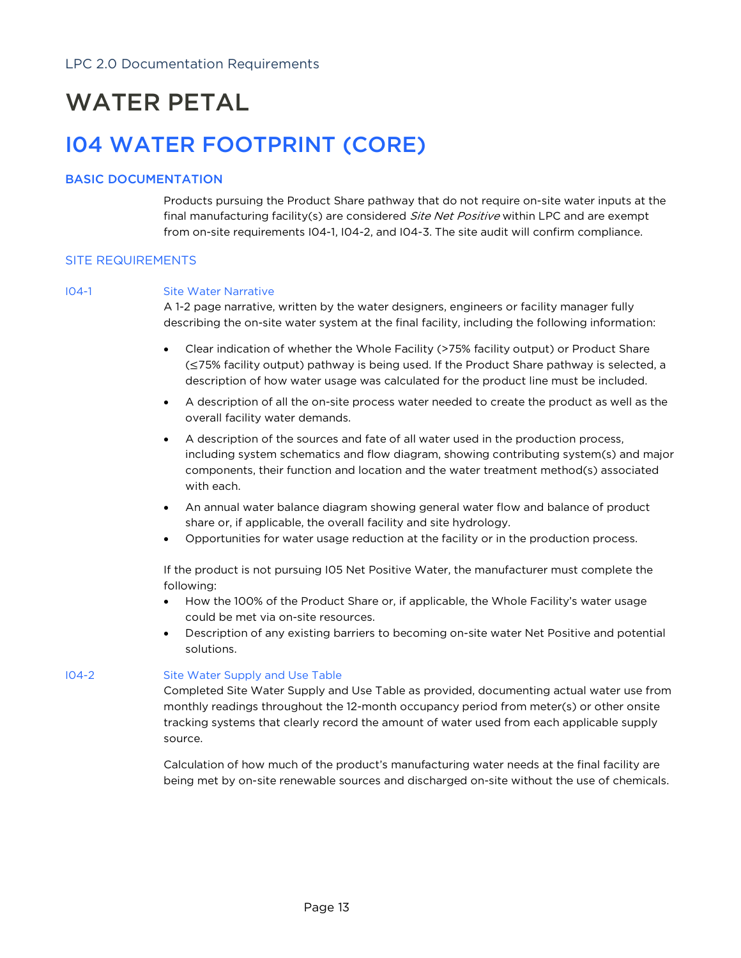# WATER PETAL

# I04 WATER FOOTPRINT (CORE)

# BASIC DOCUMENTATION

Products pursuing the Product Share pathway that do not require on-site water inputs at the final manufacturing facility(s) are considered *Site Net Positive* within LPC and are exempt from on-site requirements I04-1, I04-2, and I04-3. The site audit will confirm compliance.

# SITE REQUIREMENTS

### I04-1 Site Water Narrative

A 1-2 page narrative, written by the water designers, engineers or facility manager fully describing the on-site water system at the final facility, including the following information:

- Clear indication of whether the Whole Facility (>75% facility output) or Product Share (≤75% facility output) pathway is being used. If the Product Share pathway is selected, a description of how water usage was calculated for the product line must be included.
- A description of all the on-site process water needed to create the product as well as the overall facility water demands.
- A description of the sources and fate of all water used in the production process, including system schematics and flow diagram, showing contributing system(s) and major components, their function and location and the water treatment method(s) associated with each.
- An annual water balance diagram showing general water flow and balance of product share or, if applicable, the overall facility and site hydrology.
- Opportunities for water usage reduction at the facility or in the production process.

If the product is not pursuing I05 Net Positive Water, the manufacturer must complete the following:

- How the 100% of the Product Share or, if applicable, the Whole Facility's water usage could be met via on-site resources.
- Description of any existing barriers to becoming on-site water Net Positive and potential solutions.

### I04-2 Site Water Supply and Use Table

Completed Site Water Supply and Use Table as provided, documenting actual water use from monthly readings throughout the 12-month occupancy period from meter(s) or other onsite tracking systems that clearly record the amount of water used from each applicable supply source.

Calculation of how much of the product's manufacturing water needs at the final facility are being met by on-site renewable sources and discharged on-site without the use of chemicals.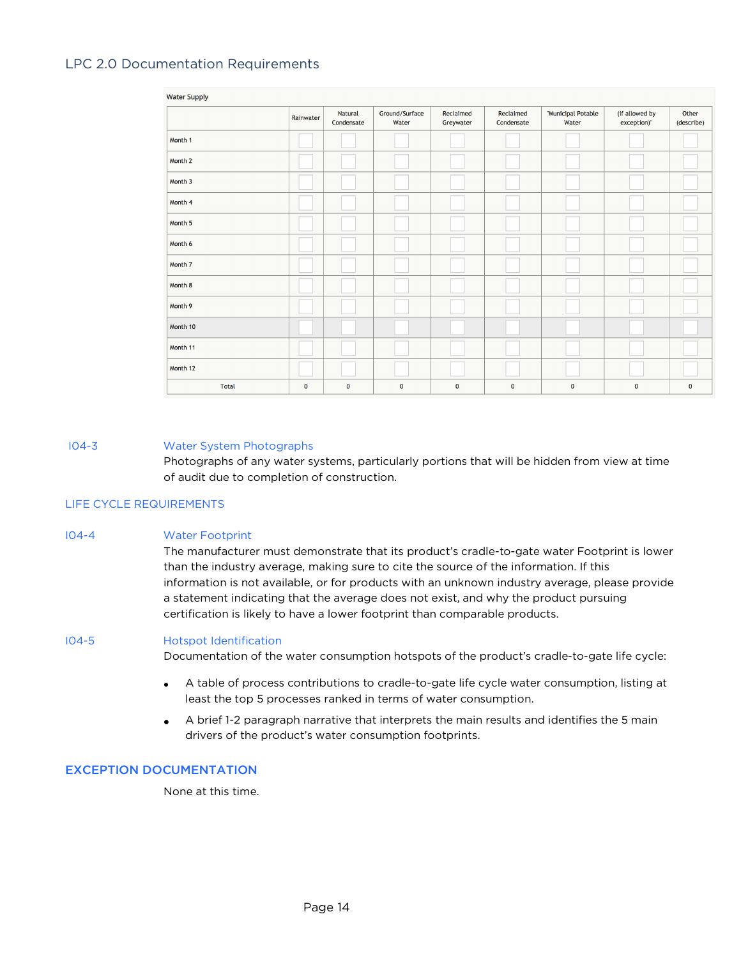| <b>Water Supply</b> |              |                              |                         |                        |                         |                             |                               |                     |
|---------------------|--------------|------------------------------|-------------------------|------------------------|-------------------------|-----------------------------|-------------------------------|---------------------|
|                     | Rainwater    | <b>Natural</b><br>Condensate | Ground/Surface<br>Water | Reclaimed<br>Greywater | Reclaimed<br>Condensate | "Municipal Potable<br>Water | (if allowed by<br>exception)" | Other<br>(describe) |
| Month 1             |              |                              |                         |                        |                         |                             |                               |                     |
| Month 2             |              |                              |                         |                        |                         |                             |                               |                     |
| Month 3             |              |                              |                         |                        |                         |                             |                               |                     |
| Month 4             |              |                              |                         |                        |                         |                             |                               |                     |
| Month 5             |              |                              |                         |                        |                         |                             |                               |                     |
| Month 6             |              |                              |                         |                        |                         |                             |                               |                     |
| Month 7             |              |                              |                         |                        |                         |                             |                               |                     |
| Month 8             |              |                              |                         |                        |                         |                             |                               |                     |
| Month 9             |              |                              |                         |                        |                         |                             |                               |                     |
| Month 10            |              |                              |                         |                        |                         |                             |                               |                     |
| Month 11            |              |                              |                         |                        |                         |                             |                               |                     |
| Month 12            |              |                              |                         |                        |                         |                             |                               |                     |
| <b>Total</b>        | $\mathbf{0}$ | $\mathbf{0}$                 | $\pmb{0}$               | $\mathbf 0$            | $\mathbf 0$             | $\mathbf 0$                 | $\mathbf 0$                   | $\pmb{0}$           |

#### I04-3 Water System Photographs

Photographs of any water systems, particularly portions that will be hidden from view at time of audit due to completion of construction.

#### LIFE CYCLE REQUIREMENTS

I04-4 Water Footprint The manufacturer must demonstrate that its product's cradle-to-gate water Footprint is lower than the industry average, making sure to cite the source of the information. If this information is not available, or for products with an unknown industry average, please provide a statement indicating that the average does not exist, and why the product pursuing certification is likely to have a lower footprint than comparable products.

#### I04-5 Hotspot Identification

Documentation of the water consumption hotspots of the product's cradle-to-gate life cycle:

- A table of process contributions to cradle-to-gate life cycle water consumption, listing at least the top 5 processes ranked in terms of water consumption.
- A brief 1-2 paragraph narrative that interprets the main results and identifies the 5 main drivers of the product's water consumption footprints.

### EXCEPTION DOCUMENTATION

None at this time.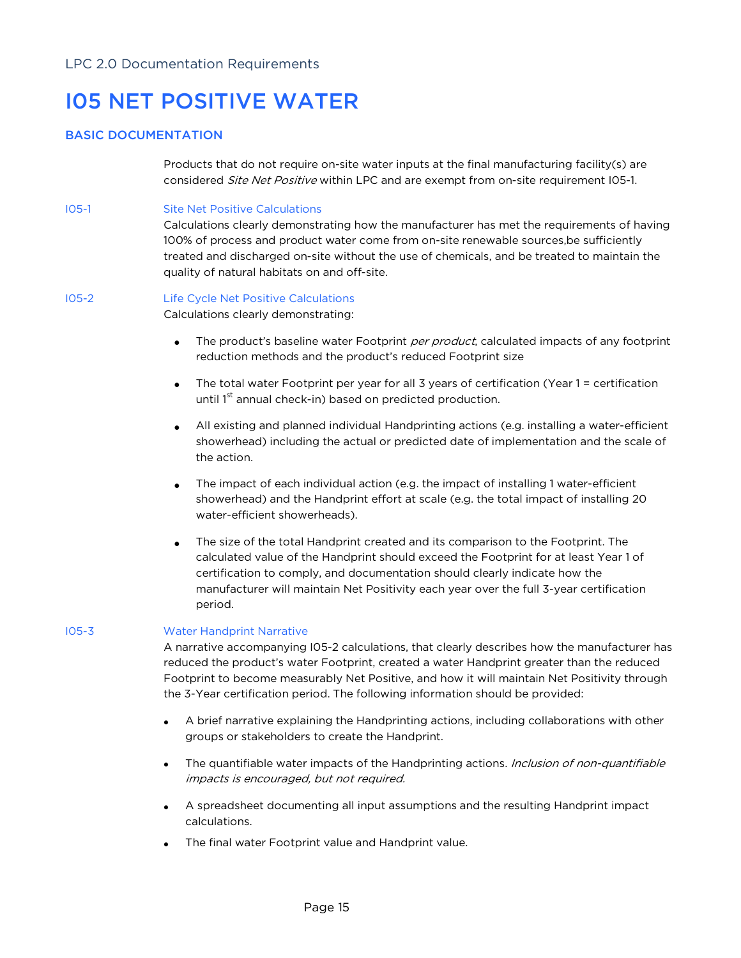# I05 NET POSITIVE WATER

# BASIC DOCUMENTATION

Products that do not require on-site water inputs at the final manufacturing facility(s) are considered Site Net Positive within LPC and are exempt from on-site requirement I05-1.

I05-1 Site Net Positive Calculations

Calculations clearly demonstrating how the manufacturer has met the requirements of having 100% of process and product water come from on-site renewable sources,be sufficiently treated and discharged on-site without the use of chemicals, and be treated to maintain the quality of natural habitats on and off-site.

# I05-2 Life Cycle Net Positive Calculations

Calculations clearly demonstrating:

- The product's baseline water Footprint per product, calculated impacts of any footprint reduction methods and the product's reduced Footprint size
- The total water Footprint per year for all 3 years of certification (Year 1 = certification until 1<sup>st</sup> annual check-in) based on predicted production.
- All existing and planned individual Handprinting actions (e.g. installing a water-efficient showerhead) including the actual or predicted date of implementation and the scale of the action.
- The impact of each individual action (e.g. the impact of installing 1 water-efficient showerhead) and the Handprint effort at scale (e.g. the total impact of installing 20 water-efficient showerheads).
- The size of the total Handprint created and its comparison to the Footprint. The calculated value of the Handprint should exceed the Footprint for at least Year 1 of certification to comply, and documentation should clearly indicate how the manufacturer will maintain Net Positivity each year over the full 3-year certification period.

## I05-3 Water Handprint Narrative

A narrative accompanying I05-2 calculations, that clearly describes how the manufacturer has reduced the product's water Footprint, created a water Handprint greater than the reduced Footprint to become measurably Net Positive, and how it will maintain Net Positivity through the 3-Year certification period. The following information should be provided:

- A brief narrative explaining the Handprinting actions, including collaborations with other groups or stakeholders to create the Handprint.
- The quantifiable water impacts of the Handprinting actions. Inclusion of non-quantifiable impacts is encouraged, but not required.
- A spreadsheet documenting all input assumptions and the resulting Handprint impact calculations.
- The final water Footprint value and Handprint value.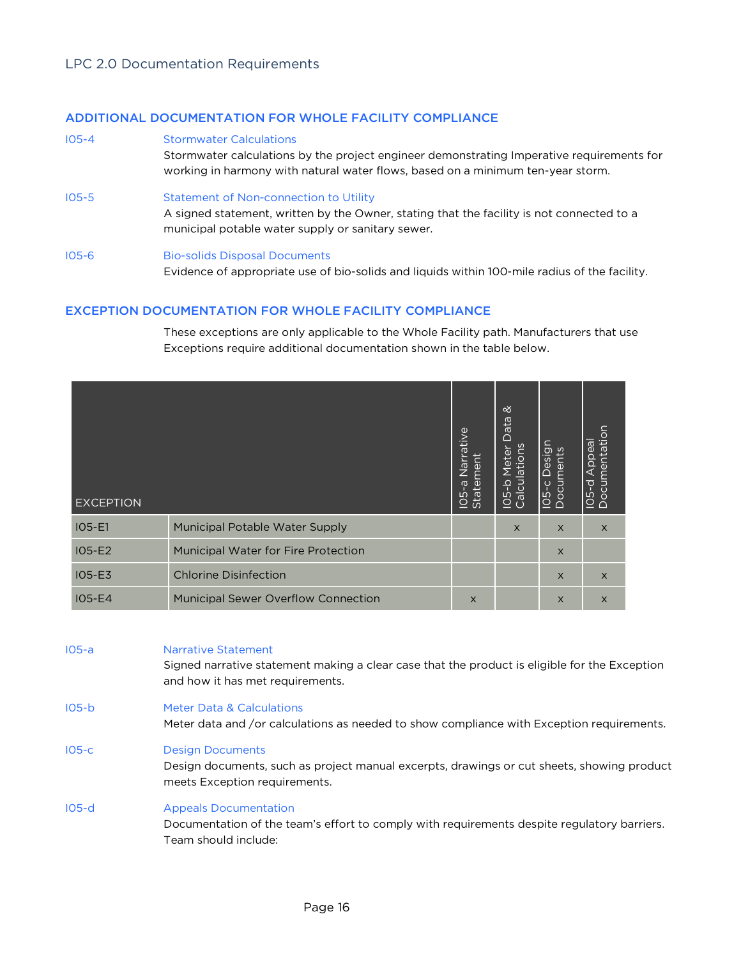# ADDITIONAL DOCUMENTATION FOR WHOLE FACILITY COMPLIANCE

I05-4 Stormwater Calculations

Stormwater calculations by the project engineer demonstrating Imperative requirements for working in harmony with natural water flows, based on a minimum ten-year storm.

- I05-5 Statement of Non-connection to Utility A signed statement, written by the Owner, stating that the facility is not connected to a municipal potable water supply or sanitary sewer.
- I05-6 Bio-solids Disposal Documents Evidence of appropriate use of bio-solids and liquids within 100-mile radius of the facility.

# EXCEPTION DOCUMENTATION FOR WHOLE FACILITY COMPLIANCE

These exceptions are only applicable to the Whole Facility path. Manufacturers that use Exceptions require additional documentation shown in the table below.

| <b>EXCEPTION</b> |                                            | ative<br>Nar<br>$\overline{\mathtt{d}}$<br>Stater<br>ത<br>105 | ∞<br>Data<br>Calculations<br>Meter<br>$105-b$ | IO5-c Design<br>Documents<br><u>io</u> | Documentation<br>$\overline{\overline{6}}$<br>$\frac{8}{2}$<br>◁<br>$105-d$ |
|------------------|--------------------------------------------|---------------------------------------------------------------|-----------------------------------------------|----------------------------------------|-----------------------------------------------------------------------------|
| $IO5-E1$         | Municipal Potable Water Supply             |                                                               | $\times$                                      | $\times$                               | $\times$                                                                    |
| $IO5-E2$         | <b>Municipal Water for Fire Protection</b> |                                                               |                                               | $\times$                               |                                                                             |
| <b>IO5-E3</b>    | <b>Chlorine Disinfection</b>               |                                                               |                                               | $\times$                               | $\times$                                                                    |
| <b>IO5-E4</b>    | <b>Municipal Sewer Overflow Connection</b> | $\times$                                                      |                                               | X                                      | $\times$                                                                    |

| $105-a$ | Narrative Statement<br>Signed narrative statement making a clear case that the product is eligible for the Exception<br>and how it has met requirements. |
|---------|----------------------------------------------------------------------------------------------------------------------------------------------------------|
| $105-b$ | Meter Data & Calculations<br>Meter data and /or calculations as needed to show compliance with Exception requirements.                                   |
| $105-c$ | <b>Design Documents</b><br>Design documents, such as project manual excerpts, drawings or cut sheets, showing product<br>meets Exception requirements.   |
| $105-d$ | <b>Appeals Documentation</b><br>Documentation of the team's effort to comply with requirements despite regulatory barriers.<br>Team should include:      |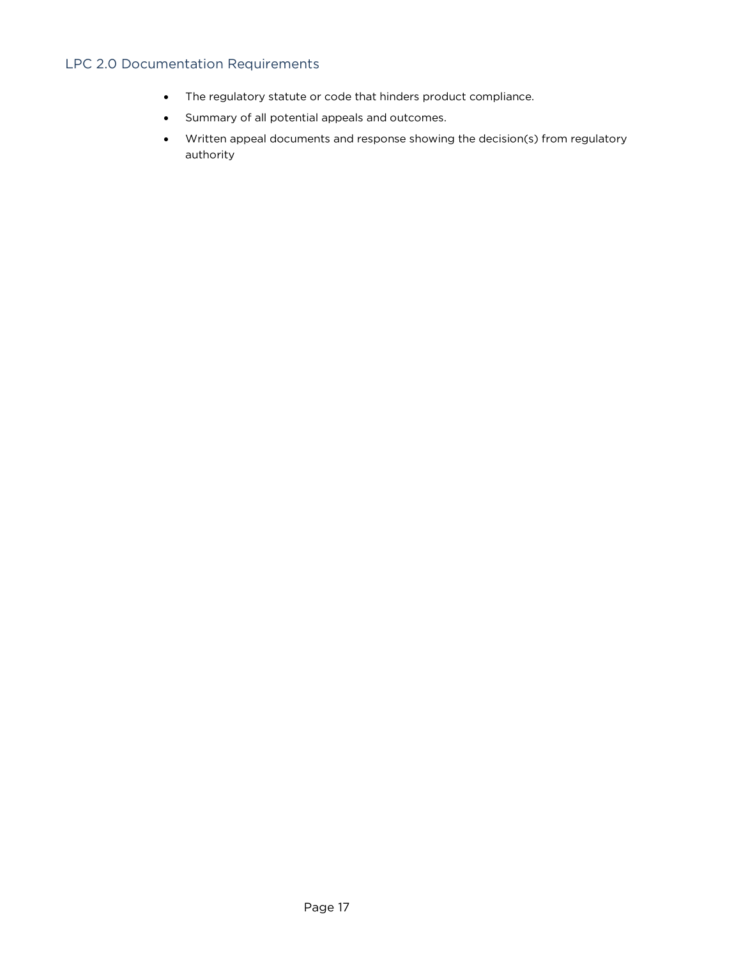- The regulatory statute or code that hinders product compliance.
- Summary of all potential appeals and outcomes.
- Written appeal documents and response showing the decision(s) from regulatory authority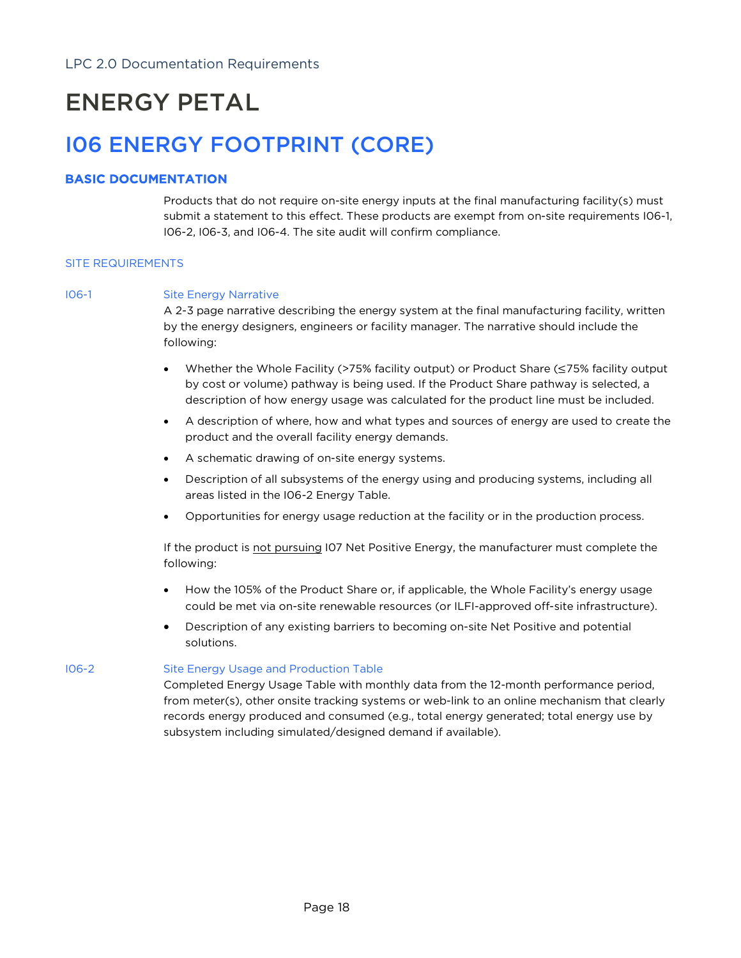# ENERGY PETAL

# I06 ENERGY FOOTPRINT (CORE)

# BASIC DOCUMENTATION

Products that do not require on-site energy inputs at the final manufacturing facility(s) must submit a statement to this effect. These products are exempt from on-site requirements I06-1, I06-2, I06-3, and I06-4. The site audit will confirm compliance.

### SITE REQUIREMENTS

### I06-1 Site Energy Narrative

A 2-3 page narrative describing the energy system at the final manufacturing facility, written by the energy designers, engineers or facility manager. The narrative should include the following:

- Whether the Whole Facility (>75% facility output) or Product Share (≤75% facility output by cost or volume) pathway is being used. If the Product Share pathway is selected, a description of how energy usage was calculated for the product line must be included.
- A description of where, how and what types and sources of energy are used to create the product and the overall facility energy demands.
- A schematic drawing of on-site energy systems.
- Description of all subsystems of the energy using and producing systems, including all areas listed in the I06-2 Energy Table.
- Opportunities for energy usage reduction at the facility or in the production process.

If the product is not pursuing I07 Net Positive Energy, the manufacturer must complete the following:

- How the 105% of the Product Share or, if applicable, the Whole Facility's energy usage could be met via on-site renewable resources (or ILFI-approved off-site infrastructure).
- Description of any existing barriers to becoming on-site Net Positive and potential solutions.

# I06-2 Site Energy Usage and Production Table

Completed Energy Usage Table with monthly data from the 12-month performance period, from meter(s), other onsite tracking systems or web-link to an online mechanism that clearly records energy produced and consumed (e.g., total energy generated; total energy use by subsystem including simulated/designed demand if available).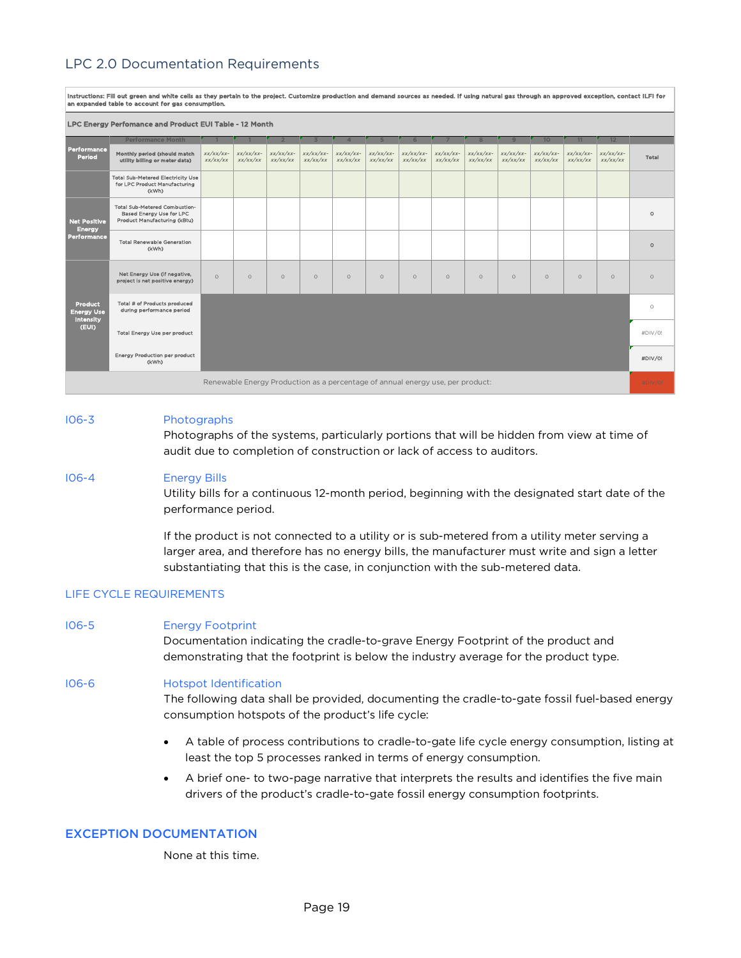| instructions: Fill out green and white cells as they pertain to the project. Customize production and demand sources as needed. If using natural gas through an approved exception, contact ILFI for<br>an expanded table to account for gas consumption. |                                                                                                  |                          |                         |                         |                          |                          |                         |                          |                          |                          |                          |                         |                          |                          |         |
|-----------------------------------------------------------------------------------------------------------------------------------------------------------------------------------------------------------------------------------------------------------|--------------------------------------------------------------------------------------------------|--------------------------|-------------------------|-------------------------|--------------------------|--------------------------|-------------------------|--------------------------|--------------------------|--------------------------|--------------------------|-------------------------|--------------------------|--------------------------|---------|
| LPC Energy Perfomance and Product EUI Table - 12 Month                                                                                                                                                                                                    |                                                                                                  |                          |                         |                         |                          |                          |                         |                          |                          |                          |                          |                         |                          |                          |         |
|                                                                                                                                                                                                                                                           | <b>Performance Month</b>                                                                         |                          |                         |                         |                          |                          |                         |                          |                          |                          | $\Omega$                 | 10 <sup>10</sup>        | 11                       | 12                       |         |
| Performance<br>Period                                                                                                                                                                                                                                     | Monthly period (should match<br>utility billing or meter data)                                   | $XX/XX/XX$ -<br>xx/xx/xx | $xx/xx/xx-$<br>xx/xx/xx | $xx/xx/xx-$<br>xx/xx/xx | $xx/xx/xx$ -<br>xx/xx/xx | $XX/XX/XX$ -<br>xx/xx/xx | $xx/xx/xx-$<br>xx/xx/xx | $xx/xx/xx$ -<br>xx/xx/xx | $xx/xx/xx$ -<br>xx/xx/xx | $XX/XX/XX$ -<br>xx/xx/xx | $xx/xx/xx$ -<br>xx/xx/xx | $xx/xx/xx-$<br>xx/xx/xx | $xx/xx/xx$ -<br>xx/xx/xx | $xx/xx/xx$ -<br>xx/xx/xx | Total   |
|                                                                                                                                                                                                                                                           | <b>Total Sub-Metered Electricity Use</b><br>for LPC Product Manufacturing<br>(kWh)               |                          |                         |                         |                          |                          |                         |                          |                          |                          |                          |                         |                          |                          |         |
| <b>Net Positive</b><br><b>Energy</b><br>Performance                                                                                                                                                                                                       | <b>Total Sub-Metered Combustion-</b><br>Based Energy Use for LPC<br>Product Manufacturing (kBtu) |                          |                         |                         |                          |                          |                         |                          |                          |                          |                          |                         |                          |                          | $\circ$ |
|                                                                                                                                                                                                                                                           | <b>Total Renewable Generation</b><br>(kWh)                                                       |                          |                         |                         |                          |                          |                         |                          |                          |                          |                          |                         |                          |                          | $\circ$ |
|                                                                                                                                                                                                                                                           | Net Energy Use (if negative,<br>project is net positive energy)                                  | $\Omega$                 | $\Omega$                | $\circ$                 | $\circ$                  | $\circ$                  | $\circ$                 | $\circ$                  | $\circ$                  | $\circ$                  | $\circ$                  | $\circ$                 | $\circ$                  | $\circ$                  | $\circ$ |
| <b>Product</b><br><b>Energy Use</b><br><b>Intensity</b>                                                                                                                                                                                                   | Total # of Products produced<br>during performance period                                        |                          |                         |                         |                          |                          |                         |                          |                          |                          |                          |                         |                          |                          | $\circ$ |
| (EUI)                                                                                                                                                                                                                                                     | Total Energy Use per product                                                                     |                          |                         |                         |                          |                          |                         |                          |                          |                          |                          |                         |                          |                          | #DIV/0! |
|                                                                                                                                                                                                                                                           | <b>Energy Production per product</b><br>(kWh)                                                    |                          |                         |                         |                          |                          |                         |                          |                          |                          |                          |                         |                          |                          | #DIV/0  |
|                                                                                                                                                                                                                                                           | Renewable Energy Production as a percentage of annual energy use, per product:                   |                          |                         |                         |                          |                          |                         |                          |                          |                          |                          | #DIV/0!                 |                          |                          |         |

#### I06-3 Photographs

Photographs of the systems, particularly portions that will be hidden from view at time of audit due to completion of construction or lack of access to auditors.

#### I06-4 Energy Bills

Utility bills for a continuous 12-month period, beginning with the designated start date of the performance period.

If the product is not connected to a utility or is sub-metered from a utility meter serving a larger area, and therefore has no energy bills, the manufacturer must write and sign a letter substantiating that this is the case, in conjunction with the sub-metered data.

#### LIFE CYCLE REQUIREMENTS

#### I06-5 Energy Footprint

Documentation indicating the cradle-to-grave Energy Footprint of the product and demonstrating that the footprint is below the industry average for the product type.

#### I06-6 Hotspot Identification

The following data shall be provided, documenting the cradle-to-gate fossil fuel-based energy consumption hotspots of the product's life cycle:

- A table of process contributions to cradle-to-gate life cycle energy consumption, listing at least the top 5 processes ranked in terms of energy consumption.
- A brief one- to two-page narrative that interprets the results and identifies the five main drivers of the product's cradle-to-gate fossil energy consumption footprints.

#### EXCEPTION DOCUMENTATION

None at this time.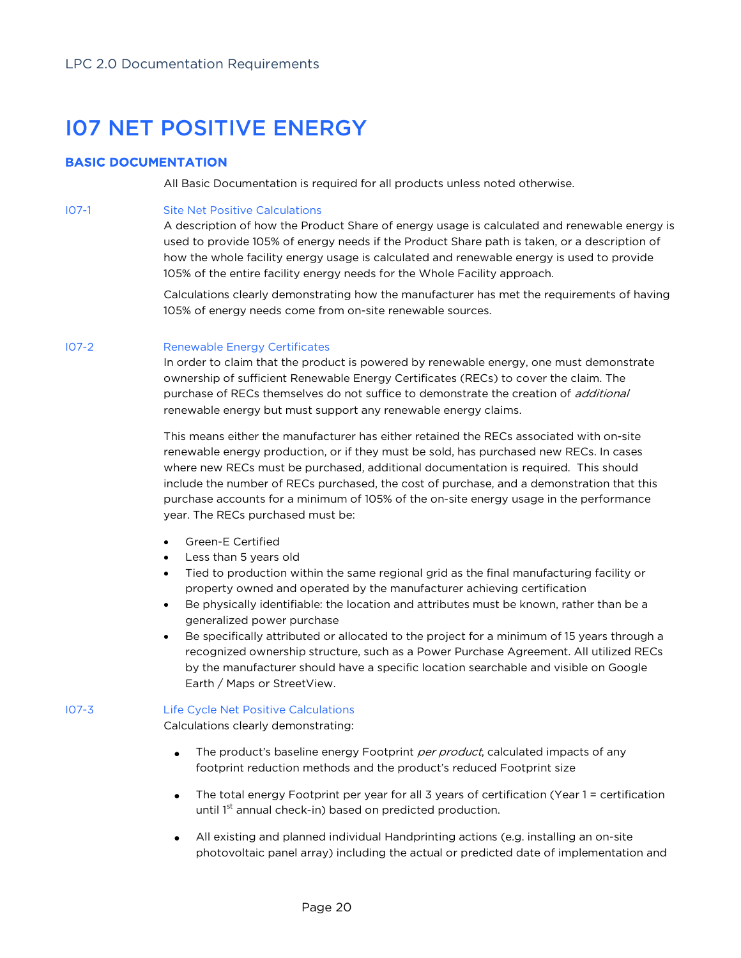# I07 NET POSITIVE ENERGY

# BASIC DOCUMENTATION

All Basic Documentation is required for all products unless noted otherwise.

### I07-1 Site Net Positive Calculations

A description of how the Product Share of energy usage is calculated and renewable energy is used to provide 105% of energy needs if the Product Share path is taken, or a description of how the whole facility energy usage is calculated and renewable energy is used to provide 105% of the entire facility energy needs for the Whole Facility approach.

Calculations clearly demonstrating how the manufacturer has met the requirements of having 105% of energy needs come from on-site renewable sources.

### I07-2 Renewable Energy Certificates

In order to claim that the product is powered by renewable energy, one must demonstrate ownership of sufficient Renewable Energy Certificates (RECs) to cover the claim. The purchase of RECs themselves do not suffice to demonstrate the creation of *additional* renewable energy but must support any renewable energy claims.

This means either the manufacturer has either retained the RECs associated with on-site renewable energy production, or if they must be sold, has purchased new RECs. In cases where new RECs must be purchased, additional documentation is required. This should include the number of RECs purchased, the cost of purchase, and a demonstration that this purchase accounts for a minimum of 105% of the on-site energy usage in the performance year. The RECs purchased must be:

- Green-E Certified
- Less than 5 years old
- Tied to production within the same regional grid as the final manufacturing facility or property owned and operated by the manufacturer achieving certification
- Be physically identifiable: the location and attributes must be known, rather than be a generalized power purchase
- Be specifically attributed or allocated to the project for a minimum of 15 years through a recognized ownership structure, such as a Power Purchase Agreement. All utilized RECs by the manufacturer should have a specific location searchable and visible on Google Earth / Maps or StreetView.

# I07-3 Life Cycle Net Positive Calculations

Calculations clearly demonstrating:

- The product's baseline energy Footprint per product, calculated impacts of any footprint reduction methods and the product's reduced Footprint size
- The total energy Footprint per year for all 3 years of certification (Year 1 = certification until 1<sup>st</sup> annual check-in) based on predicted production.
- All existing and planned individual Handprinting actions (e.g. installing an on-site photovoltaic panel array) including the actual or predicted date of implementation and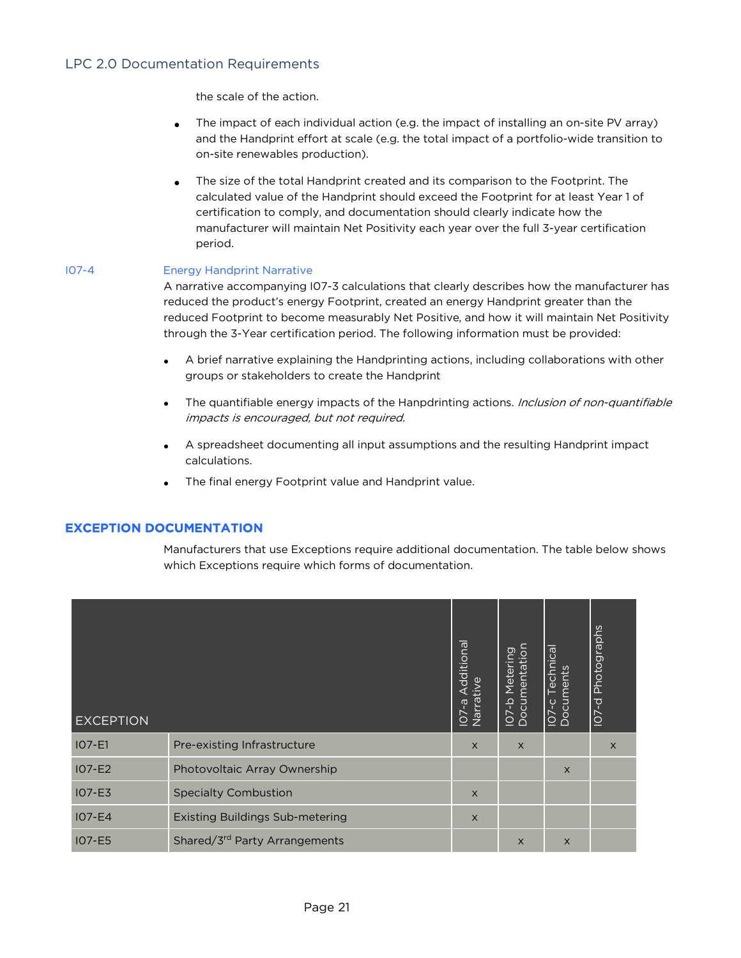the scale of the action.

- The impact of each individual action (e.g. the impact of installing an on-site PV array) and the Handprint effort at scale (e.g. the total impact of a portfolio-wide transition to on-site renewables production).
- The size of the total Handprint created and its comparison to the Footprint. The calculated value of the Handprint should exceed the Footprint for at least Year 1 of certification to comply, and documentation should clearly indicate how the manufacturer will maintain Net Positivity each year over the full 3-year certification period.

### I07-4 Energy Handprint Narrative

A narrative accompanying I07-3 calculations that clearly describes how the manufacturer has reduced the product's energy Footprint, created an energy Handprint greater than the reduced Footprint to become measurably Net Positive, and how it will maintain Net Positivity through the 3-Year certification period. The following information must be provided:

- A brief narrative explaining the Handprinting actions, including collaborations with other groups or stakeholders to create the Handprint
- The quantifiable energy impacts of the Hanpdrinting actions. Inclusion of non-quantifiable impacts is encouraged, but not required.
- A spreadsheet documenting all input assumptions and the resulting Handprint impact calculations.
- The final energy Footprint value and Handprint value.

# EXCEPTION DOCUMENTATION

Manufacturers that use Exceptions require additional documentation. The table below shows which Exceptions require which forms of documentation.

| <b>EXCEPTION</b> |                                        | dditional<br>Narrai<br>ത<br>$\overline{\mathsf{C}}$ | <u>ර</u><br>四<br>$\overline{\mathtt{d}}$<br>Θ<br>Σ<br>$\overline{\Phi}$<br>유<br>$\overline{c}$<br>$\frac{1}{2}$ | echnical<br>IO7-c Techn<br>Documents | IO7-d Photographs |
|------------------|----------------------------------------|-----------------------------------------------------|-----------------------------------------------------------------------------------------------------------------|--------------------------------------|-------------------|
| $IO7-E1$         | Pre-existing Infrastructure            | $\times$                                            | $\times$                                                                                                        |                                      | $\times$          |
| $IO7-E2$         | Photovoltaic Array Ownership           |                                                     |                                                                                                                 | $\times$                             |                   |
| $IO7-E3$         | <b>Specialty Combustion</b>            | $\times$                                            |                                                                                                                 |                                      |                   |
| $IO7-E4$         | <b>Existing Buildings Sub-metering</b> | $\times$                                            |                                                                                                                 |                                      |                   |
| <b>IO7-E5</b>    | Shared/3rd Party Arrangements          |                                                     | $\times$                                                                                                        | $\times$                             |                   |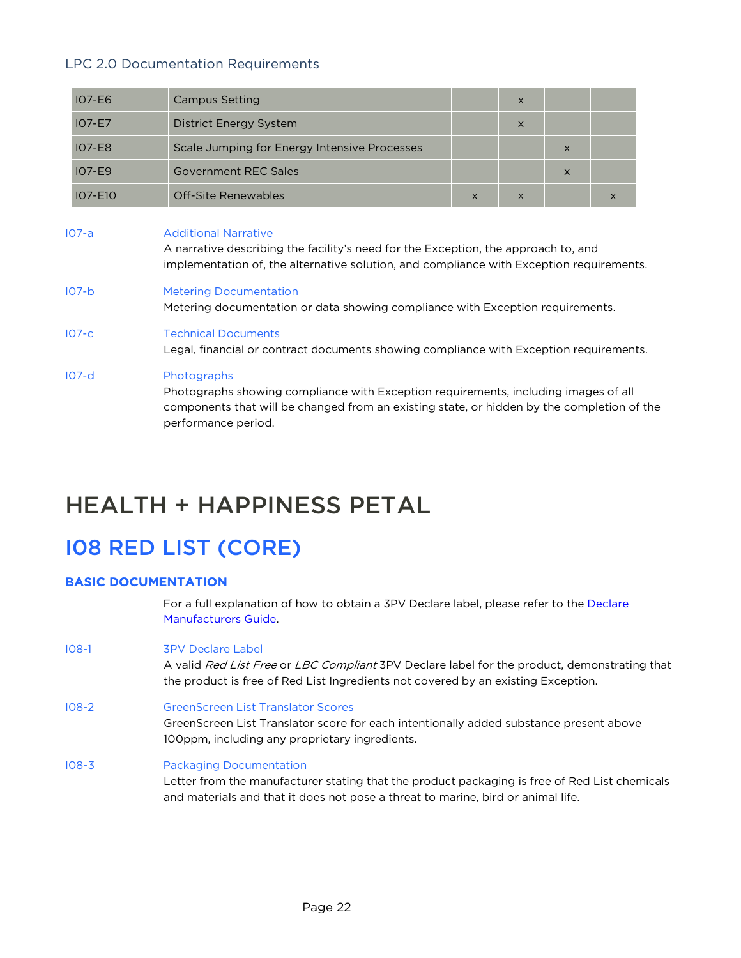| <b>IO7-E6</b>  | <b>Campus Setting</b>                                                                                                                                                                                                   |                                                                                        | $\times$ |          |          |  |  |  |  |  |
|----------------|-------------------------------------------------------------------------------------------------------------------------------------------------------------------------------------------------------------------------|----------------------------------------------------------------------------------------|----------|----------|----------|--|--|--|--|--|
| $IO7-E7$       | <b>District Energy System</b>                                                                                                                                                                                           |                                                                                        | $\times$ |          |          |  |  |  |  |  |
| <b>IO7-E8</b>  | Scale Jumping for Energy Intensive Processes                                                                                                                                                                            |                                                                                        |          | $\times$ |          |  |  |  |  |  |
| $IO7-E9$       | Government RFC Sales                                                                                                                                                                                                    |                                                                                        |          | $\times$ |          |  |  |  |  |  |
| <b>IO7-E10</b> | Off-Site Renewables                                                                                                                                                                                                     | $\times$                                                                               | $\times$ |          | $\times$ |  |  |  |  |  |
| $107-a$        | <b>Additional Narrative</b><br>A narrative describing the facility's need for the Exception, the approach to, and<br>implementation of, the alternative solution, and compliance with Exception requirements.           |                                                                                        |          |          |          |  |  |  |  |  |
| $107-b$        | <b>Metering Documentation</b>                                                                                                                                                                                           | Metering documentation or data showing compliance with Exception requirements.         |          |          |          |  |  |  |  |  |
| $IO7-c$        | <b>Technical Documents</b>                                                                                                                                                                                              | Legal, financial or contract documents showing compliance with Exception requirements. |          |          |          |  |  |  |  |  |
| $107-d$        | Photographs<br>Photographs showing compliance with Exception requirements, including images of all<br>components that will be changed from an existing state, or hidden by the completion of the<br>performance period. |                                                                                        |          |          |          |  |  |  |  |  |

# HEALTH + HAPPINESS PETAL

# I08 RED LIST (CORE)

# BASIC DOCUMENTATION

For a full explanation of how to obtain a 3PV Declare label, please refer to the Declare Manufacturers Guide.

I08-1 3PV Declare Label

A valid Red List Free or LBC Compliant 3PV Declare label for the product, demonstrating that the product is free of Red List Ingredients not covered by an existing Exception.

I08-2 GreenScreen List Translator Scores

GreenScreen List Translator score for each intentionally added substance present above 100ppm, including any proprietary ingredients.

I08-3 Packaging Documentation

Letter from the manufacturer stating that the product packaging is free of Red List chemicals and materials and that it does not pose a threat to marine, bird or animal life.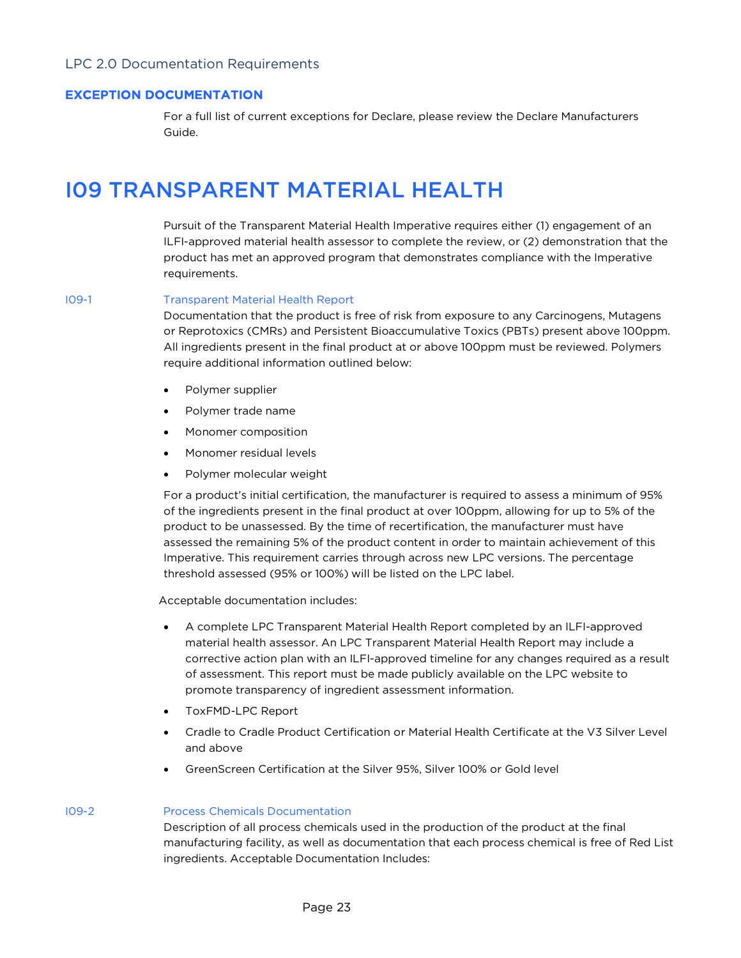# EXCEPTION DOCUMENTATION

For a full list of current exceptions for Declare, please review the Declare Manufacturers Guide.

# I09 TRANSPARENT MATERIAL HEALTH

Pursuit of the Transparent Material Health Imperative requires either (1) engagement of an ILFI-approved material health assessor to complete the review, or (2) demonstration that the product has met an approved program that demonstrates compliance with the Imperative requirements.

#### I09-1 Transparent Material Health Report

Documentation that the product is free of risk from exposure to any Carcinogens, Mutagens or Reprotoxics (CMRs) and Persistent Bioaccumulative Toxics (PBTs) present above 100ppm. All ingredients present in the final product at or above 100ppm must be reviewed. Polymers require additional information outlined below:

- Polymer supplier
- Polymer trade name
- Monomer composition
- Monomer residual levels
- Polymer molecular weight

For a product's initial certification, the manufacturer is required to assess a minimum of 95% of the ingredients present in the final product at over 100ppm, allowing for up to 5% of the product to be unassessed. By the time of recertification, the manufacturer must have assessed the remaining 5% of the product content in order to maintain achievement of this Imperative. This requirement carries through across new LPC versions. The percentage threshold assessed (95% or 100%) will be listed on the LPC label.

Acceptable documentation includes:

- A complete LPC Transparent Material Health Report completed by an ILFI-approved material health assessor. An LPC Transparent Material Health Report may include a corrective action plan with an ILFI-approved timeline for any changes required as a result of assessment. This report must be made publicly available on the LPC website to promote transparency of ingredient assessment information.
- ToxFMD-LPC Report
- Cradle to Cradle Product Certification or Material Health Certificate at the V3 Silver Level and above
- GreenScreen Certification at the Silver 95%, Silver 100% or Gold level

### I09-2 Process Chemicals Documentation

Description of all process chemicals used in the production of the product at the final manufacturing facility, as well as documentation that each process chemical is free of Red List ingredients. Acceptable Documentation Includes: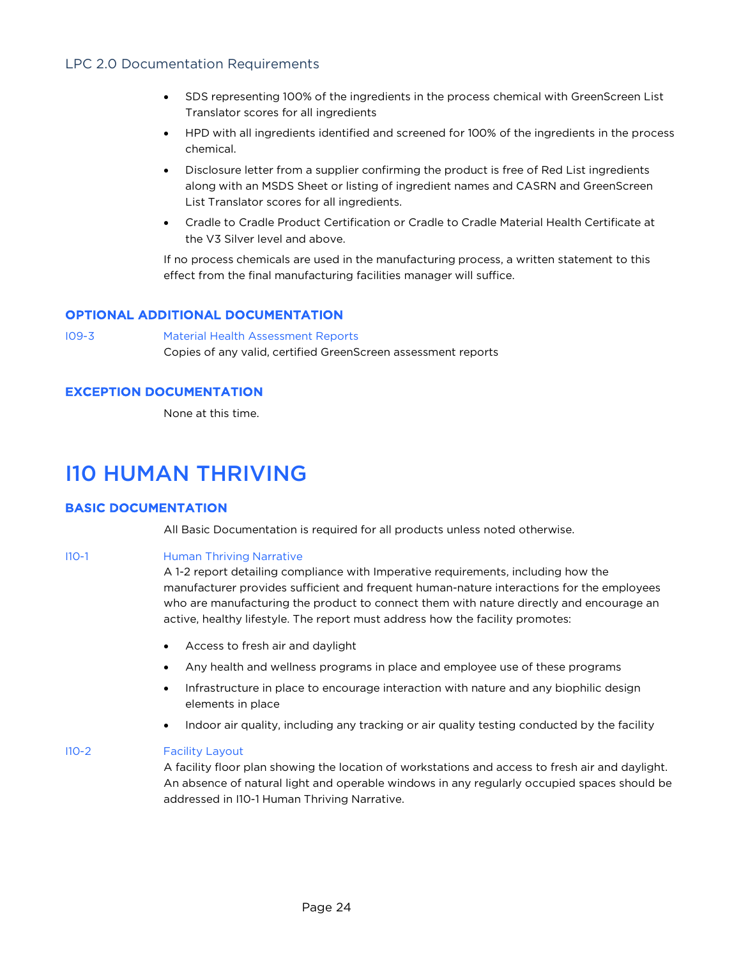- SDS representing 100% of the ingredients in the process chemical with GreenScreen List Translator scores for all ingredients
- HPD with all ingredients identified and screened for 100% of the ingredients in the process chemical.
- Disclosure letter from a supplier confirming the product is free of Red List ingredients along with an MSDS Sheet or listing of ingredient names and CASRN and GreenScreen List Translator scores for all ingredients.
- Cradle to Cradle Product Certification or Cradle to Cradle Material Health Certificate at the V3 Silver level and above.

If no process chemicals are used in the manufacturing process, a written statement to this effect from the final manufacturing facilities manager will suffice.

# OPTIONAL ADDITIONAL DOCUMENTATION

I09-3 Material Health Assessment Reports Copies of any valid, certified GreenScreen assessment reports

# EXCEPTION DOCUMENTATION

None at this time.

# I10 HUMAN THRIVING

# BASIC DOCUMENTATION

All Basic Documentation is required for all products unless noted otherwise.

I10-1 **Human Thriving Narrative** 

A 1-2 report detailing compliance with Imperative requirements, including how the manufacturer provides sufficient and frequent human-nature interactions for the employees who are manufacturing the product to connect them with nature directly and encourage an active, healthy lifestyle. The report must address how the facility promotes:

- Access to fresh air and daylight
- Any health and wellness programs in place and employee use of these programs
- Infrastructure in place to encourage interaction with nature and any biophilic design elements in place
- Indoor air quality, including any tracking or air quality testing conducted by the facility

### I10-2 Facility Layout

A facility floor plan showing the location of workstations and access to fresh air and daylight. An absence of natural light and operable windows in any regularly occupied spaces should be addressed in I10-1 Human Thriving Narrative.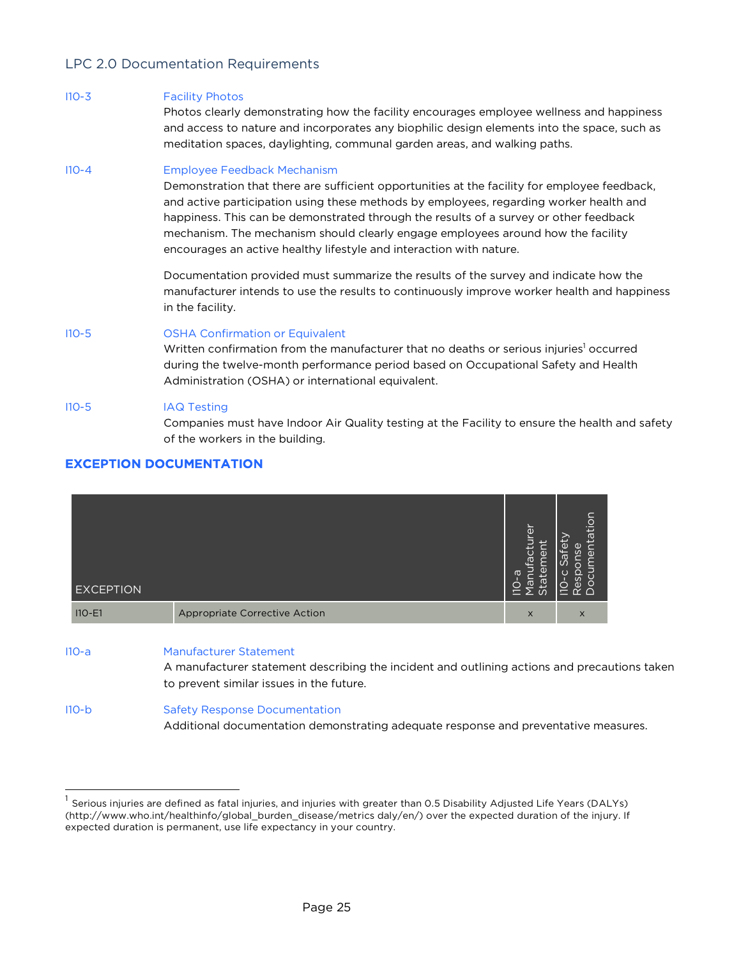#### I10-3 Facility Photos

Photos clearly demonstrating how the facility encourages employee wellness and happiness and access to nature and incorporates any biophilic design elements into the space, such as meditation spaces, daylighting, communal garden areas, and walking paths.

#### I10-4 Employee Feedback Mechanism

Demonstration that there are sufficient opportunities at the facility for employee feedback, and active participation using these methods by employees, regarding worker health and happiness. This can be demonstrated through the results of a survey or other feedback mechanism. The mechanism should clearly engage employees around how the facility encourages an active healthy lifestyle and interaction with nature.

Documentation provided must summarize the results of the survey and indicate how the manufacturer intends to use the results to continuously improve worker health and happiness in the facility.

# I10-5 OSHA Confirmation or Equivalent

Written confirmation from the manufacturer that no deaths or serious injuries<sup>1</sup> occurred during the twelve-month performance period based on Occupational Safety and Health Administration (OSHA) or international equivalent.

### I10-5 IAQ Testing

Companies must have Indoor Air Quality testing at the Facility to ensure the health and safety of the workers in the building.

# EXCEPTION DOCUMENTATION



I10-a Manufacturer Statement

A manufacturer statement describing the incident and outlining actions and precautions taken to prevent similar issues in the future.

| $110-b$ | <b>Safety Response Documentation</b>                                                |
|---------|-------------------------------------------------------------------------------------|
|         | Additional documentation demonstrating adequate response and preventative measures. |

 $<sup>1</sup>$  Serious injuries are defined as fatal injuries, and injuries with greater than 0.5 Disability Adjusted Life Years (DALYs)</sup> (http://www.who.int/healthinfo/global\_burden\_disease/metrics daly/en/) over the expected duration of the injury. If expected duration is permanent, use life expectancy in your country.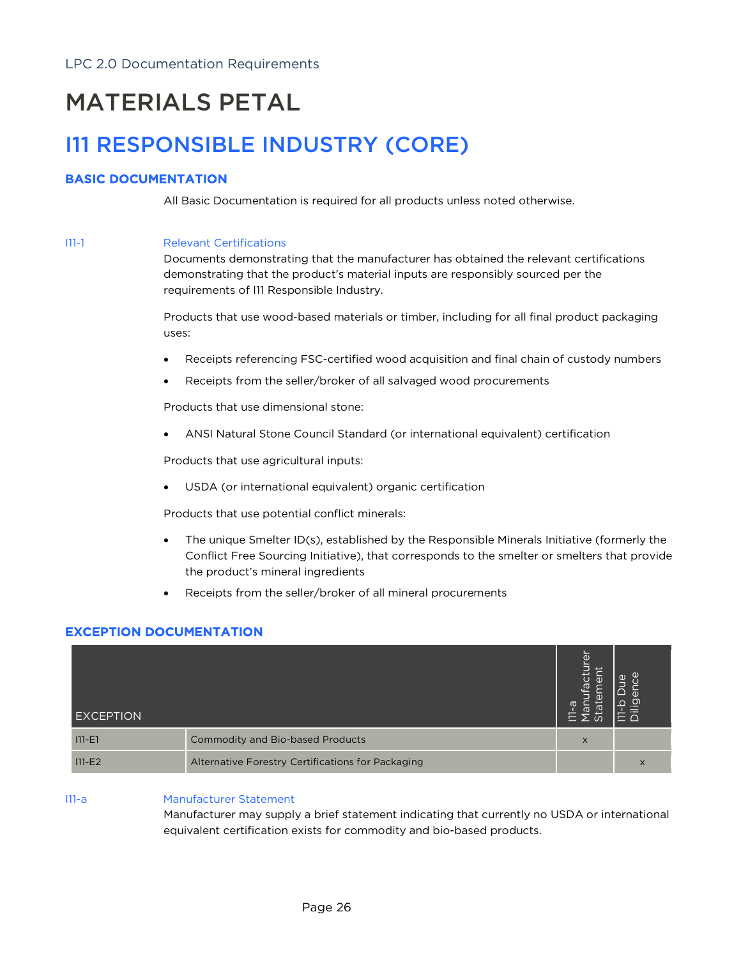# MATERIALS PETAL

# I11 RESPONSIBLE INDUSTRY (CORE)

# BASIC DOCUMENTATION

All Basic Documentation is required for all products unless noted otherwise.

#### I11-1 Relevant Certifications

Documents demonstrating that the manufacturer has obtained the relevant certifications demonstrating that the product's material inputs are responsibly sourced per the requirements of I11 Responsible Industry.

Products that use wood-based materials or timber, including for all final product packaging uses:

- Receipts referencing FSC-certified wood acquisition and final chain of custody numbers
- Receipts from the seller/broker of all salvaged wood procurements

Products that use dimensional stone:

• ANSI Natural Stone Council Standard (or international equivalent) certification

Products that use agricultural inputs:

USDA (or international equivalent) organic certification

Products that use potential conflict minerals:

- The unique Smelter ID(s), established by the Responsible Minerals Initiative (formerly the Conflict Free Sourcing Initiative), that corresponds to the smelter or smelters that provide the product's mineral ingredients
- Receipts from the seller/broker of all mineral procurements

# EXCEPTION DOCUMENTATION

| <b>EXCEPTION</b> |                                                   | ō<br>⊾   | $\Phi$<br>$\mathbb{Q}$ |
|------------------|---------------------------------------------------|----------|------------------------|
| $111 - E1$       | Commodity and Bio-based Products                  | $\times$ |                        |
| $111-E2$         | Alternative Forestry Certifications for Packaging |          |                        |

# I11-a Manufacturer Statement

Manufacturer may supply a brief statement indicating that currently no USDA or international equivalent certification exists for commodity and bio-based products.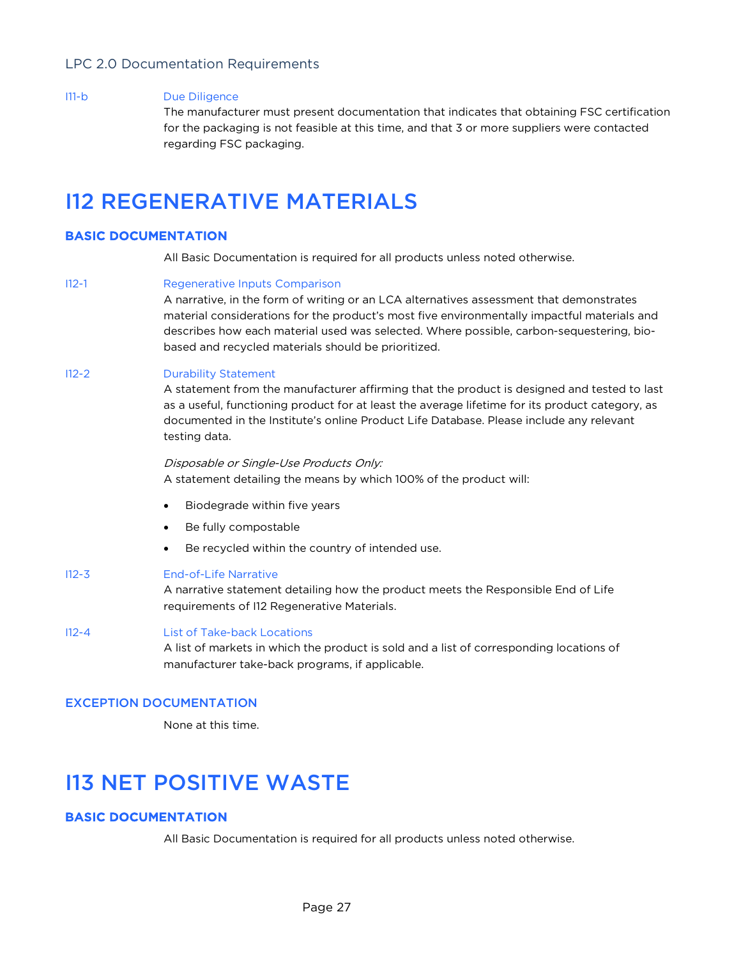#### I11-b Due Diligence

The manufacturer must present documentation that indicates that obtaining FSC certification for the packaging is not feasible at this time, and that 3 or more suppliers were contacted regarding FSC packaging.

# I12 REGENERATIVE MATERIALS

# BASIC DOCUMENTATION

All Basic Documentation is required for all products unless noted otherwise.

#### I12-1 Regenerative Inputs Comparison

A narrative, in the form of writing or an LCA alternatives assessment that demonstrates material considerations for the product's most five environmentally impactful materials and describes how each material used was selected. Where possible, carbon-sequestering, biobased and recycled materials should be prioritized.

### I12-2 Durability Statement

A statement from the manufacturer affirming that the product is designed and tested to last as a useful, functioning product for at least the average lifetime for its product category, as documented in the Institute's online Product Life Database. Please include any relevant testing data.

#### Disposable or Single-Use Products Only: A statement detailing the means by which 100% of the product will:

- Biodegrade within five years
- Be fully compostable
- Be recycled within the country of intended use.

#### I12-3 End-of-Life Narrative

A narrative statement detailing how the product meets the Responsible End of Life requirements of I12 Regenerative Materials.

### I12-4 List of Take-back Locations

A list of markets in which the product is sold and a list of corresponding locations of manufacturer take-back programs, if applicable.

### EXCEPTION DOCUMENTATION

None at this time.

# I13 NET POSITIVE WASTE

# BASIC DOCUMENTATION

All Basic Documentation is required for all products unless noted otherwise.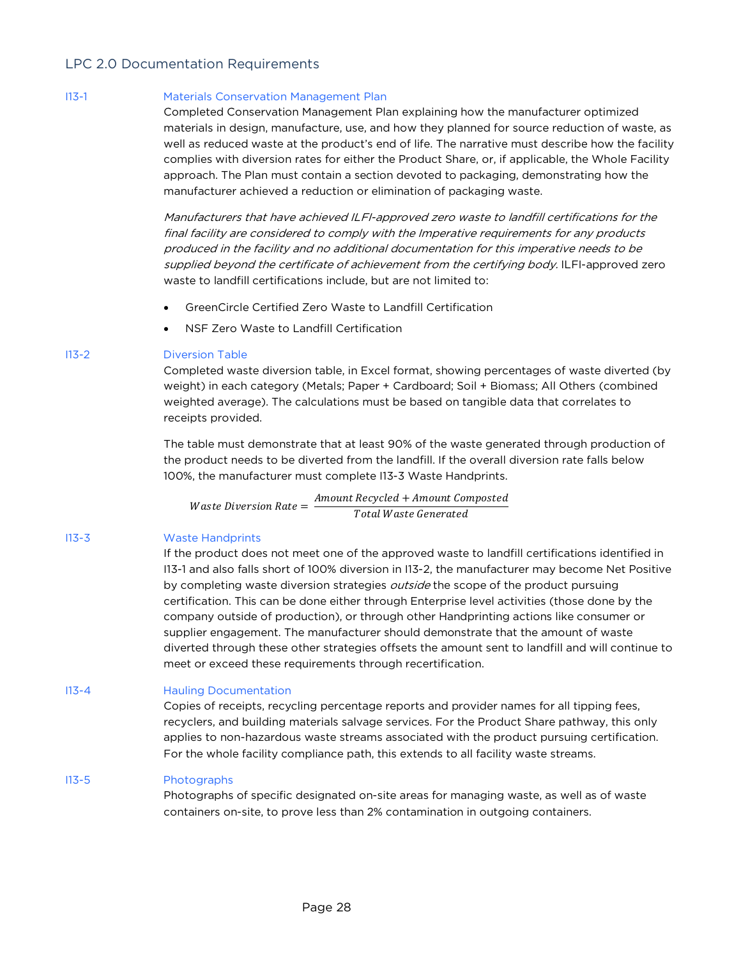# I13-1 Materials Conservation Management Plan

Completed Conservation Management Plan explaining how the manufacturer optimized materials in design, manufacture, use, and how they planned for source reduction of waste, as well as reduced waste at the product's end of life. The narrative must describe how the facility complies with diversion rates for either the Product Share, or, if applicable, the Whole Facility approach. The Plan must contain a section devoted to packaging, demonstrating how the manufacturer achieved a reduction or elimination of packaging waste.

Manufacturers that have achieved ILFI-approved zero waste to landfill certifications for the final facility are considered to comply with the Imperative requirements for any products produced in the facility and no additional documentation for this imperative needs to be supplied beyond the certificate of achievement from the certifying body. ILFI-approved zero waste to landfill certifications include, but are not limited to:

- GreenCircle Certified Zero Waste to Landfill Certification
- NSF Zero Waste to Landfill Certification

### I13-2 Diversion Table

Completed waste diversion table, in Excel format, showing percentages of waste diverted (by weight) in each category (Metals; Paper + Cardboard; Soil + Biomass; All Others (combined weighted average). The calculations must be based on tangible data that correlates to receipts provided.

The table must demonstrate that at least 90% of the waste generated through production of the product needs to be diverted from the landfill. If the overall diversion rate falls below 100%, the manufacturer must complete I13-3 Waste Handprints.

 $\textit{Waste Diversion Rate} = \frac{\textit{Amount Recycled} + \textit{Amount Composed}}{\textit{Total Waste Generated}}$ 

### I13-3 Waste Handprints

If the product does not meet one of the approved waste to landfill certifications identified in I13-1 and also falls short of 100% diversion in I13-2, the manufacturer may become Net Positive by completing waste diversion strategies outside the scope of the product pursuing certification. This can be done either through Enterprise level activities (those done by the company outside of production), or through other Handprinting actions like consumer or supplier engagement. The manufacturer should demonstrate that the amount of waste diverted through these other strategies offsets the amount sent to landfill and will continue to meet or exceed these requirements through recertification.

### I13-4 Hauling Documentation

Copies of receipts, recycling percentage reports and provider names for all tipping fees, recyclers, and building materials salvage services. For the Product Share pathway, this only applies to non-hazardous waste streams associated with the product pursuing certification. For the whole facility compliance path, this extends to all facility waste streams.

### I13-5 Photographs

Photographs of specific designated on-site areas for managing waste, as well as of waste containers on-site, to prove less than 2% contamination in outgoing containers.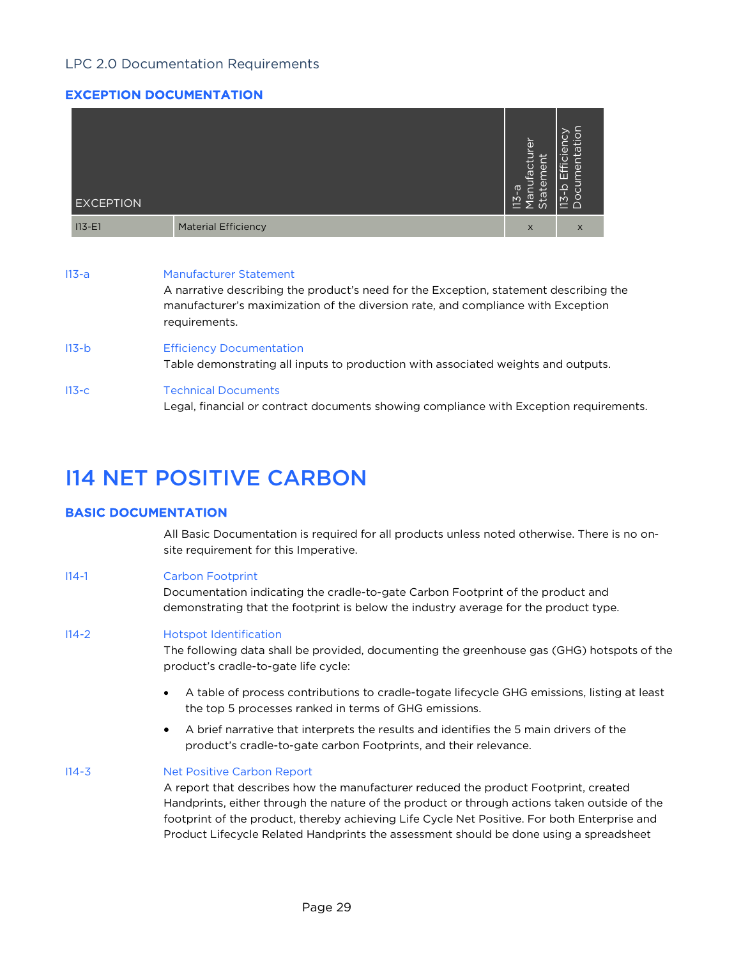# EXCEPTION DOCUMENTATION

| <b>EXCEPTION</b> |                                                                                                                                                                                                                             |  | ğ<br>$\overline{a}$<br>ق<br>$\sigma$ | 'n<br>$\equiv$ 0 |  |  |  |  |
|------------------|-----------------------------------------------------------------------------------------------------------------------------------------------------------------------------------------------------------------------------|--|--------------------------------------|------------------|--|--|--|--|
| $113 - E1$       | <b>Material Efficiency</b>                                                                                                                                                                                                  |  | $\times$                             | X                |  |  |  |  |
| $113-a$          | <b>Manufacturer Statement</b><br>A narrative describing the product's need for the Exception, statement describing the<br>manufacturer's maximization of the diversion rate, and compliance with Exception<br>requirements. |  |                                      |                  |  |  |  |  |
| $113-b$          | <b>Efficiency Documentation</b><br>Table demonstrating all inputs to production with associated weights and outputs.                                                                                                        |  |                                      |                  |  |  |  |  |

# I13-c Technical Documents Legal, financial or contract documents showing compliance with Exception requirements.

# I14 NET POSITIVE CARBON

# BASIC DOCUMENTATION

All Basic Documentation is required for all products unless noted otherwise. There is no onsite requirement for this Imperative.

### I14-1 Carbon Footprint

Documentation indicating the cradle-to-gate Carbon Footprint of the product and demonstrating that the footprint is below the industry average for the product type.

### I14-2 Hotspot Identification

The following data shall be provided, documenting the greenhouse gas (GHG) hotspots of the product's cradle-to-gate life cycle:

- A table of process contributions to cradle-togate lifecycle GHG emissions, listing at least the top 5 processes ranked in terms of GHG emissions.
- A brief narrative that interprets the results and identifies the 5 main drivers of the product's cradle-to-gate carbon Footprints, and their relevance.

### I14-3 Net Positive Carbon Report

A report that describes how the manufacturer reduced the product Footprint, created Handprints, either through the nature of the product or through actions taken outside of the footprint of the product, thereby achieving Life Cycle Net Positive. For both Enterprise and Product Lifecycle Related Handprints the assessment should be done using a spreadsheet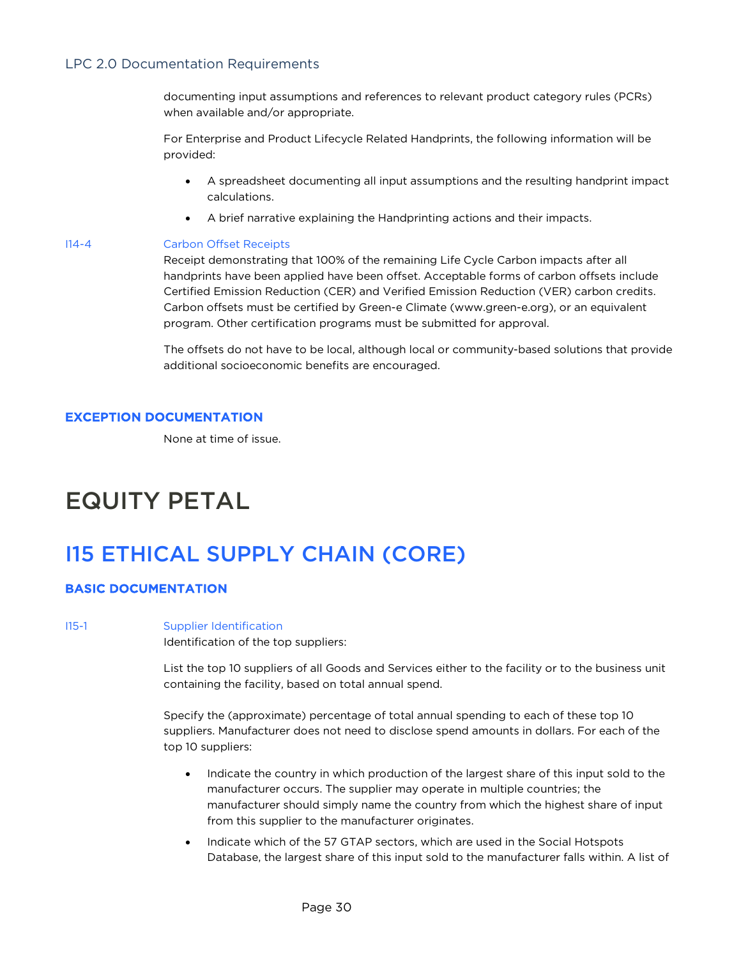documenting input assumptions and references to relevant product category rules (PCRs) when available and/or appropriate.

For Enterprise and Product Lifecycle Related Handprints, the following information will be provided:

- A spreadsheet documenting all input assumptions and the resulting handprint impact calculations.
- A brief narrative explaining the Handprinting actions and their impacts.

#### I14-4 Carbon Offset Receipts

Receipt demonstrating that 100% of the remaining Life Cycle Carbon impacts after all handprints have been applied have been offset. Acceptable forms of carbon offsets include Certified Emission Reduction (CER) and Verified Emission Reduction (VER) carbon credits. Carbon offsets must be certified by Green-e Climate (www.green-e.org), or an equivalent program. Other certification programs must be submitted for approval.

The offsets do not have to be local, although local or community-based solutions that provide additional socioeconomic benefits are encouraged.

# EXCEPTION DOCUMENTATION

None at time of issue.

# EQUITY PETAL

# I15 ETHICAL SUPPLY CHAIN (CORE)

# BASIC DOCUMENTATION

#### I15-1 Supplier Identification

Identification of the top suppliers:

List the top 10 suppliers of all Goods and Services either to the facility or to the business unit containing the facility, based on total annual spend.

Specify the (approximate) percentage of total annual spending to each of these top 10 suppliers. Manufacturer does not need to disclose spend amounts in dollars. For each of the top 10 suppliers:

- Indicate the country in which production of the largest share of this input sold to the manufacturer occurs. The supplier may operate in multiple countries; the manufacturer should simply name the country from which the highest share of input from this supplier to the manufacturer originates.
- Indicate which of the 57 GTAP sectors, which are used in the Social Hotspots Database, the largest share of this input sold to the manufacturer falls within. A list of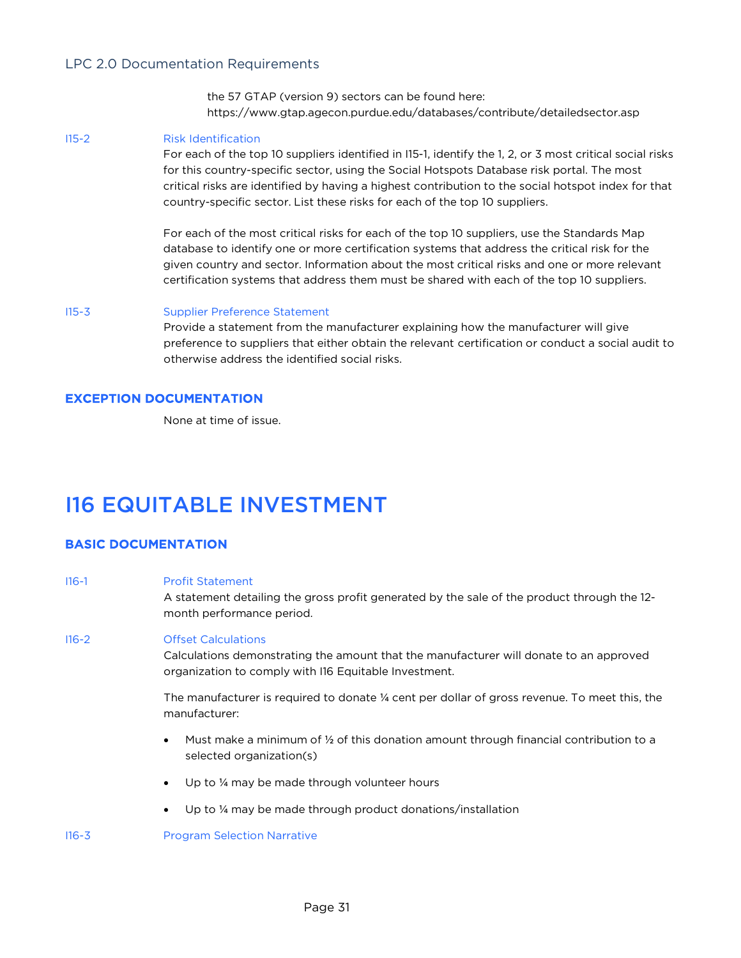the 57 GTAP (version 9) sectors can be found here: https://www.gtap.agecon.purdue.edu/databases/contribute/detailedsector.asp

#### I15-2 Risk Identification

For each of the top 10 suppliers identified in I15-1, identify the 1, 2, or 3 most critical social risks for this country-specific sector, using the Social Hotspots Database risk portal. The most critical risks are identified by having a highest contribution to the social hotspot index for that country-specific sector. List these risks for each of the top 10 suppliers.

For each of the most critical risks for each of the top 10 suppliers, use the Standards Map database to identify one or more certification systems that address the critical risk for the given country and sector. Information about the most critical risks and one or more relevant certification systems that address them must be shared with each of the top 10 suppliers.

#### I15-3 Supplier Preference Statement

Provide a statement from the manufacturer explaining how the manufacturer will give preference to suppliers that either obtain the relevant certification or conduct a social audit to otherwise address the identified social risks.

# EXCEPTION DOCUMENTATION

None at time of issue.

# I16 EQUITABLE INVESTMENT

# BASIC DOCUMENTATION

| $116-1$   | <b>Profit Statement</b><br>A statement detailing the gross profit generated by the sale of the product through the 12-<br>month performance period.                           |
|-----------|-------------------------------------------------------------------------------------------------------------------------------------------------------------------------------|
| $116 - 2$ | <b>Offset Calculations</b><br>Calculations demonstrating the amount that the manufacturer will donate to an approved<br>organization to comply with I16 Equitable Investment. |
|           | The manufacturer is required to donate 1/4 cent per dollar of gross revenue. To meet this, the<br>manufacturer:                                                               |
|           | Must make a minimum of 1/2 of this donation amount through financial contribution to a<br>$\bullet$<br>selected organization(s)                                               |
|           | Up to 1/4 may be made through volunteer hours<br>$\bullet$                                                                                                                    |

• Up to ¼ may be made through product donations/installation

I16-3 Program Selection Narrative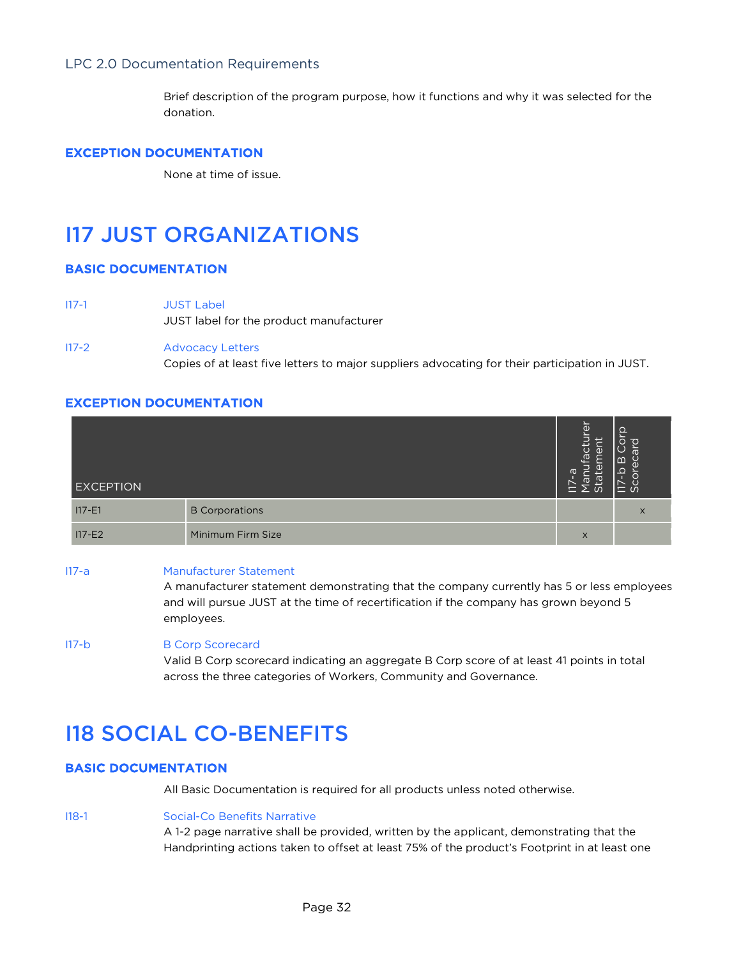Brief description of the program purpose, how it functions and why it was selected for the donation.

## EXCEPTION DOCUMENTATION

None at time of issue.

# I17 JUST ORGANIZATIONS

# BASIC DOCUMENTATION

- I17-1 JUST Label JUST label for the product manufacturer
- I17-2 Advocacy Letters Copies of at least five letters to major suppliers advocating for their participation in JUST.

### EXCEPTION DOCUMENTATION

| <b>EXCEPTION</b> |                       | $\overline{\Phi}$<br>È<br>$\overline{d}$<br>$\cup$<br>በነ<br>$\sigma$<br>요<br>ത<br>$\sigma$<br>ē | Ω<br>$\overline{\bullet}$<br>ത<br>ന<br>$=$ $\omega$ |
|------------------|-----------------------|-------------------------------------------------------------------------------------------------|-----------------------------------------------------|
| $117 - E1$       | <b>B</b> Corporations |                                                                                                 | X                                                   |
| $117-E2$         | Minimum Firm Size     | $\times$                                                                                        |                                                     |

#### I17-a Manufacturer Statement

A manufacturer statement demonstrating that the company currently has 5 or less employees and will pursue JUST at the time of recertification if the company has grown beyond 5 employees.

#### I17-b B Corp Scorecard

Valid B Corp scorecard indicating an aggregate B Corp score of at least 41 points in total across the three categories of Workers, Community and Governance.

# I18 SOCIAL CO-BENEFITS

# BASIC DOCUMENTATION

All Basic Documentation is required for all products unless noted otherwise.

#### I18-1 Social-Co Benefits Narrative

A 1-2 page narrative shall be provided, written by the applicant, demonstrating that the Handprinting actions taken to offset at least 75% of the product's Footprint in at least one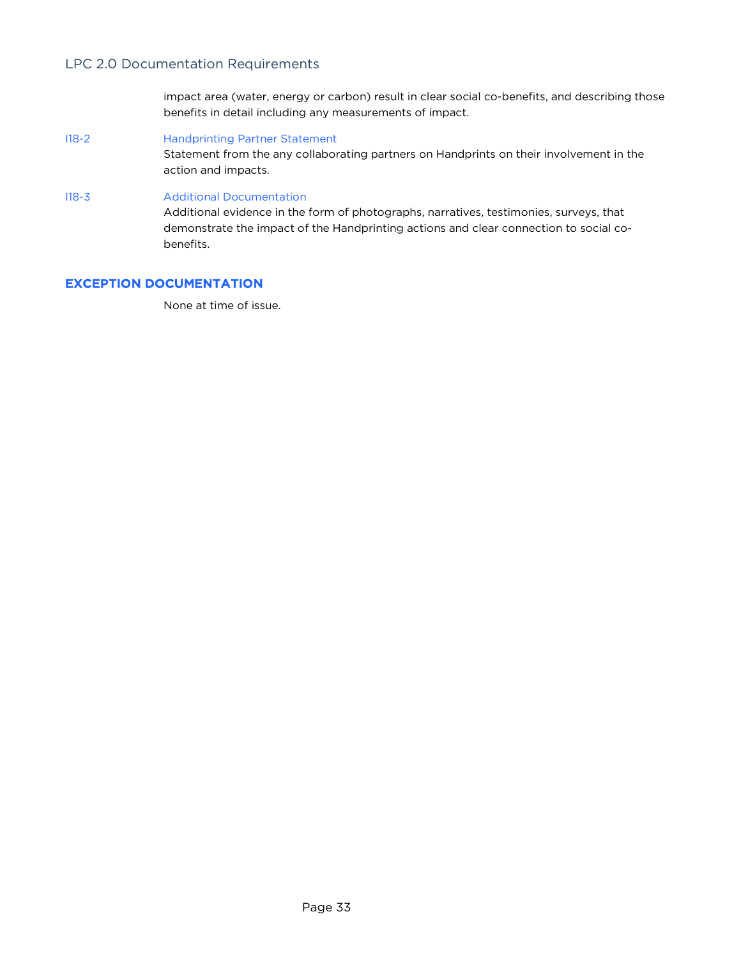impact area (water, energy or carbon) result in clear social co-benefits, and describing those benefits in detail including any measurements of impact.

I18-2 Handprinting Partner Statement

Statement from the any collaborating partners on Handprints on their involvement in the action and impacts.

#### I18-3 Additional Documentation

Additional evidence in the form of photographs, narratives, testimonies, surveys, that demonstrate the impact of the Handprinting actions and clear connection to social cobenefits.

# EXCEPTION DOCUMENTATION

None at time of issue.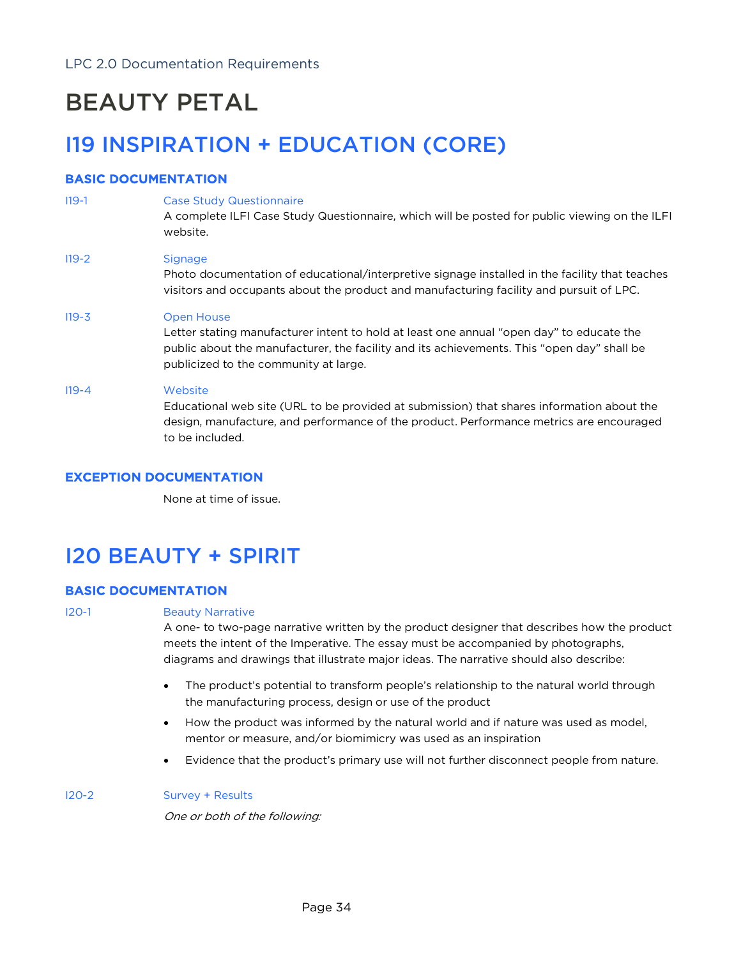# BEAUTY PETAL

# I19 INSPIRATION + EDUCATION (CORE)

# BASIC DOCUMENTATION

| $119-1$   | <b>Case Study Questionnaire</b><br>A complete ILFI Case Study Questionnaire, which will be posted for public viewing on the ILFI<br>website.                                                                                                  |
|-----------|-----------------------------------------------------------------------------------------------------------------------------------------------------------------------------------------------------------------------------------------------|
| $119 - 2$ | <b>Signage</b><br>Photo documentation of educational/interpretive signage installed in the facility that teaches<br>visitors and occupants about the product and manufacturing facility and pursuit of LPC.                                   |
| $119 - 3$ | Open House<br>Letter stating manufacturer intent to hold at least one annual "open day" to educate the<br>public about the manufacturer, the facility and its achievements. This "open day" shall be<br>publicized to the community at large. |
| $119 - 4$ | Website<br>Educational web site (URL to be provided at submission) that shares information about the<br>design, manufacture, and performance of the product. Performance metrics are encouraged<br>to be included                             |

# EXCEPTION DOCUMENTATION

None at time of issue.

# I20 BEAUTY + SPIRIT

# BASIC DOCUMENTATION

# I20-1 Beauty Narrative

A one- to two-page narrative written by the product designer that describes how the product meets the intent of the Imperative. The essay must be accompanied by photographs, diagrams and drawings that illustrate major ideas. The narrative should also describe:

- The product's potential to transform people's relationship to the natural world through the manufacturing process, design or use of the product
- How the product was informed by the natural world and if nature was used as model, mentor or measure, and/or biomimicry was used as an inspiration
- Evidence that the product's primary use will not further disconnect people from nature.

### I20-2 Survey + Results

One or both of the following: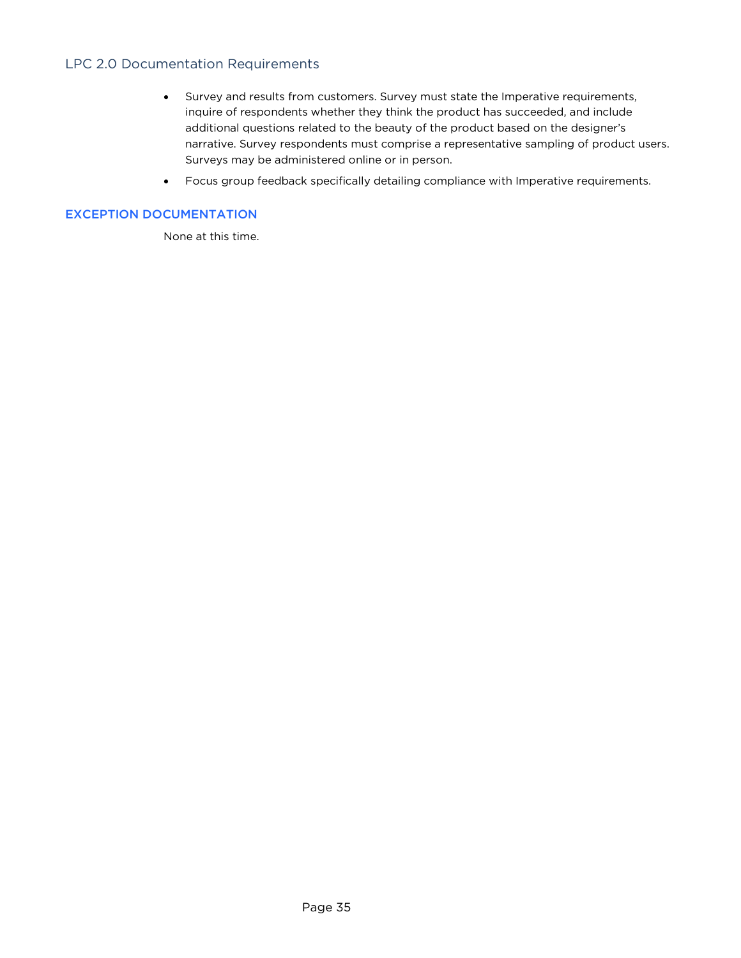- Survey and results from customers. Survey must state the Imperative requirements, inquire of respondents whether they think the product has succeeded, and include additional questions related to the beauty of the product based on the designer's narrative. Survey respondents must comprise a representative sampling of product users. Surveys may be administered online or in person.
- Focus group feedback specifically detailing compliance with Imperative requirements.

# EXCEPTION DOCUMENTATION

None at this time.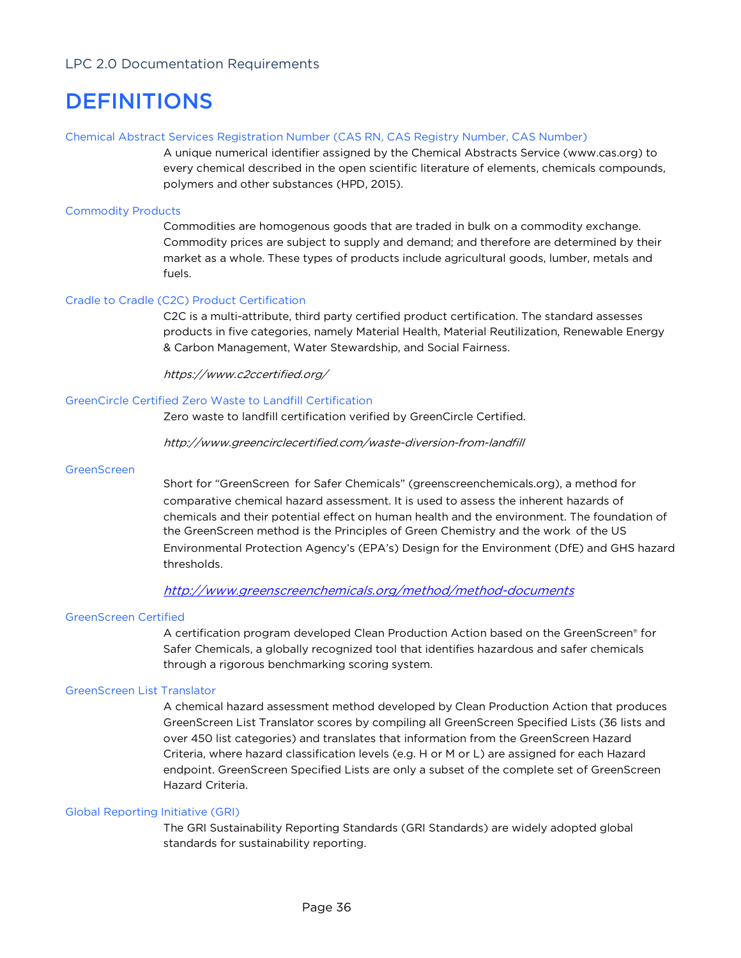# DEFINITIONS

#### Chemical Abstract Services Registration Number (CAS RN, CAS Registry Number, CAS Number)

A unique numerical identifier assigned by the Chemical Abstracts Service (www.cas.org) to every chemical described in the open scientific literature of elements, chemicals compounds, polymers and other substances (HPD, 2015).

#### Commodity Products

Commodities are homogenous goods that are traded in bulk on a commodity exchange. Commodity prices are subject to supply and demand; and therefore are determined by their market as a whole. These types of products include agricultural goods, lumber, metals and fuels.

#### Cradle to Cradle (C2C) Product Certification

C2C is a multi-attribute, third party certified product certification. The standard assesses products in five categories, namely Material Health, Material Reutilization, Renewable Energy & Carbon Management, Water Stewardship, and Social Fairness.

https://www.c2ccertified.org/

#### GreenCircle Certified Zero Waste to Landfill Certification

Zero waste to landfill certification verified by GreenCircle Certified.

http://www.greencirclecertified.com/waste-diversion-from-landfill

#### **GreenScreen**

Short for "GreenScreen for Safer Chemicals" (greenscreenchemicals.org), a method for comparative chemical hazard assessment. It is used to assess the inherent hazards of chemicals and their potential effect on human health and the environment. The foundation of the GreenScreen method is the Principles of Green Chemistry and the work of the US Environmental Protection Agency's (EPA's) Design for the Environment (DfE) and GHS hazard thresholds.

### http://www.greenscreenchemicals.org/method/method-documents

#### GreenScreen Certified

A certification program developed Clean Production Action based on the GreenScreen® for Safer Chemicals, a globally recognized tool that identifies hazardous and safer chemicals through a rigorous benchmarking scoring system.

#### GreenScreen List Translator

A chemical hazard assessment method developed by Clean Production Action that produces GreenScreen List Translator scores by compiling all GreenScreen Specified Lists (36 lists and over 450 list categories) and translates that information from the GreenScreen Hazard Criteria, where hazard classification levels (e.g. H or M or L) are assigned for each Hazard endpoint. GreenScreen Specified Lists are only a subset of the complete set of GreenScreen Hazard Criteria.

### Global Reporting Initiative (GRI)

The GRI Sustainability Reporting Standards (GRI Standards) are widely adopted global standards for sustainability reporting.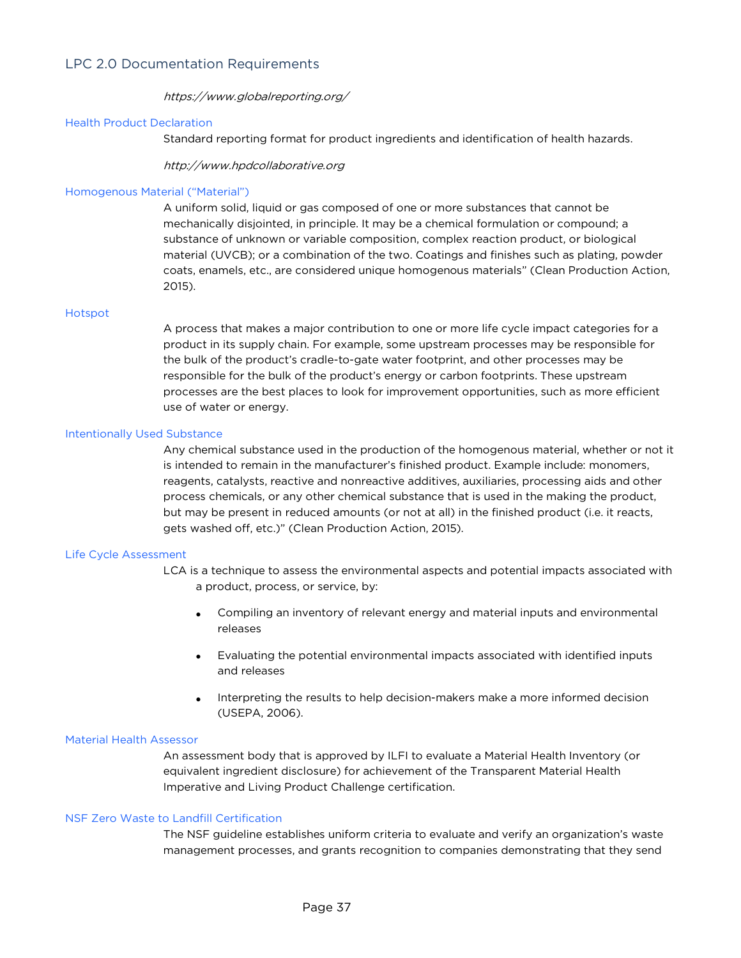### https://www.globalreporting.org/

#### Health Product Declaration

Standard reporting format for product ingredients and identification of health hazards.

http://www.hpdcollaborative.org

#### Homogenous Material ("Material")

A uniform solid, liquid or gas composed of one or more substances that cannot be mechanically disjointed, in principle. It may be a chemical formulation or compound; a substance of unknown or variable composition, complex reaction product, or biological material (UVCB); or a combination of the two. Coatings and finishes such as plating, powder coats, enamels, etc., are considered unique homogenous materials" (Clean Production Action, 2015).

#### Hotspot

A process that makes a major contribution to one or more life cycle impact categories for a product in its supply chain. For example, some upstream processes may be responsible for the bulk of the product's cradle-to-gate water footprint, and other processes may be responsible for the bulk of the product's energy or carbon footprints. These upstream processes are the best places to look for improvement opportunities, such as more efficient use of water or energy.

#### Intentionally Used Substance

Any chemical substance used in the production of the homogenous material, whether or not it is intended to remain in the manufacturer's finished product. Example include: monomers, reagents, catalysts, reactive and nonreactive additives, auxiliaries, processing aids and other process chemicals, or any other chemical substance that is used in the making the product, but may be present in reduced amounts (or not at all) in the finished product (i.e. it reacts, gets washed off, etc.)" (Clean Production Action, 2015).

#### Life Cycle Assessment

LCA is a technique to assess the environmental aspects and potential impacts associated with a product, process, or service, by:

- Compiling an inventory of relevant energy and material inputs and environmental releases
- Evaluating the potential environmental impacts associated with identified inputs and releases
- Interpreting the results to help decision-makers make a more informed decision (USEPA, 2006).

#### Material Health Assessor

An assessment body that is approved by ILFI to evaluate a Material Health Inventory (or equivalent ingredient disclosure) for achievement of the Transparent Material Health Imperative and Living Product Challenge certification.

### NSF Zero Waste to Landfill Certification

The NSF guideline establishes uniform criteria to evaluate and verify an organization's waste management processes, and grants recognition to companies demonstrating that they send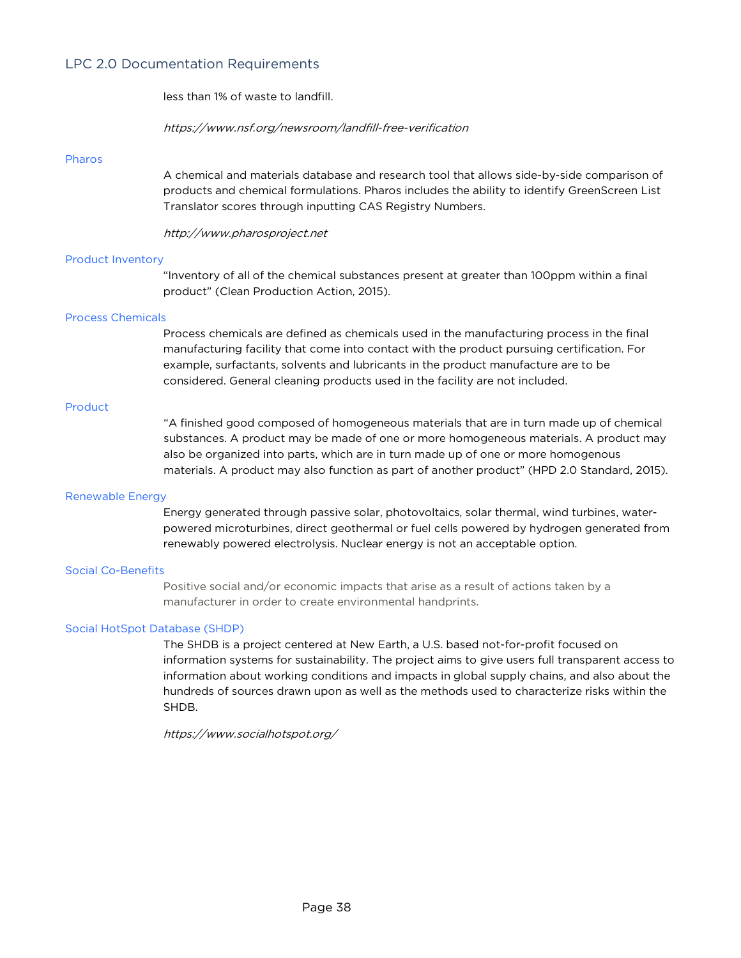less than 1% of waste to landfill.

https://www.nsf.org/newsroom/landfill-free-verification

#### Pharos

A chemical and materials database and research tool that allows side-by-side comparison of products and chemical formulations. Pharos includes the ability to identify GreenScreen List Translator scores through inputting CAS Registry Numbers.

http://www.pharosproject.net

#### Product Inventory

"Inventory of all of the chemical substances present at greater than 100ppm within a final product" (Clean Production Action, 2015).

# Process Chemicals

Process chemicals are defined as chemicals used in the manufacturing process in the final manufacturing facility that come into contact with the product pursuing certification. For example, surfactants, solvents and lubricants in the product manufacture are to be considered. General cleaning products used in the facility are not included.

## Product

"A finished good composed of homogeneous materials that are in turn made up of chemical substances. A product may be made of one or more homogeneous materials. A product may also be organized into parts, which are in turn made up of one or more homogenous materials. A product may also function as part of another product" (HPD 2.0 Standard, 2015).

#### Renewable Energy

Energy generated through passive solar, photovoltaics, solar thermal, wind turbines, waterpowered microturbines, direct geothermal or fuel cells powered by hydrogen generated from renewably powered electrolysis. Nuclear energy is not an acceptable option.

#### Social Co-Benefits

Positive social and/or economic impacts that arise as a result of actions taken by a manufacturer in order to create environmental handprints.

### Social HotSpot Database (SHDP)

The SHDB is a project centered at New Earth, a U.S. based not-for-profit focused on information systems for sustainability. The project aims to give users full transparent access to information about working conditions and impacts in global supply chains, and also about the hundreds of sources drawn upon as well as the methods used to characterize risks within the SHDB.

https://www.socialhotspot.org/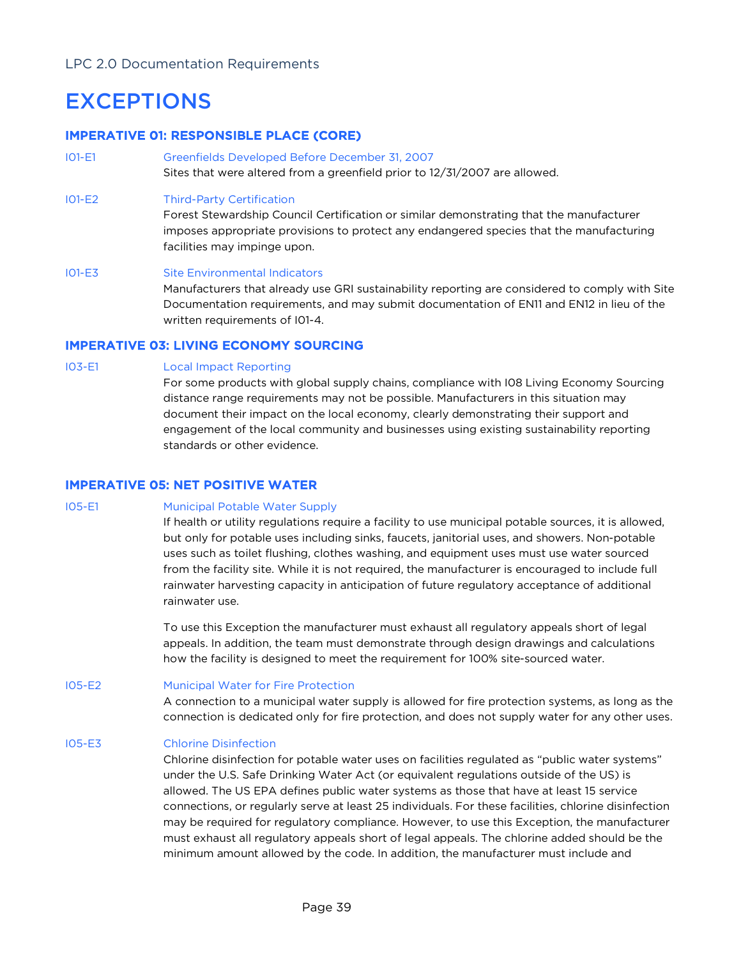# EXCEPTIONS

# IMPERATIVE 01: RESPONSIBLE PLACE (CORE)

I01-E1 Greenfields Developed Before December 31, 2007 Sites that were altered from a greenfield prior to 12/31/2007 are allowed.

### I01-E2 Third-Party Certification

Forest Stewardship Council Certification or similar demonstrating that the manufacturer imposes appropriate provisions to protect any endangered species that the manufacturing facilities may impinge upon.

I01-E3 Site Environmental Indicators Manufacturers that already use GRI sustainability reporting are considered to comply with Site Documentation requirements, and may submit documentation of EN11 and EN12 in lieu of the written requirements of I01-4.

# IMPERATIVE 03: LIVING ECONOMY SOURCING

#### I03-E1 Local Impact Reporting

For some products with global supply chains, compliance with I08 Living Economy Sourcing distance range requirements may not be possible. Manufacturers in this situation may document their impact on the local economy, clearly demonstrating their support and engagement of the local community and businesses using existing sustainability reporting standards or other evidence.

# IMPERATIVE 05: NET POSITIVE WATER

### I05-E1 Municipal Potable Water Supply

If health or utility regulations require a facility to use municipal potable sources, it is allowed, but only for potable uses including sinks, faucets, janitorial uses, and showers. Non-potable uses such as toilet flushing, clothes washing, and equipment uses must use water sourced from the facility site. While it is not required, the manufacturer is encouraged to include full rainwater harvesting capacity in anticipation of future regulatory acceptance of additional rainwater use.

To use this Exception the manufacturer must exhaust all regulatory appeals short of legal appeals. In addition, the team must demonstrate through design drawings and calculations how the facility is designed to meet the requirement for 100% site-sourced water.

I05-E2 Municipal Water for Fire Protection

A connection to a municipal water supply is allowed for fire protection systems, as long as the connection is dedicated only for fire protection, and does not supply water for any other uses.

### I05-E3 Chlorine Disinfection

Chlorine disinfection for potable water uses on facilities regulated as "public water systems" under the U.S. Safe Drinking Water Act (or equivalent regulations outside of the US) is allowed. The US EPA defines public water systems as those that have at least 15 service connections, or regularly serve at least 25 individuals. For these facilities, chlorine disinfection may be required for regulatory compliance. However, to use this Exception, the manufacturer must exhaust all regulatory appeals short of legal appeals. The chlorine added should be the minimum amount allowed by the code. In addition, the manufacturer must include and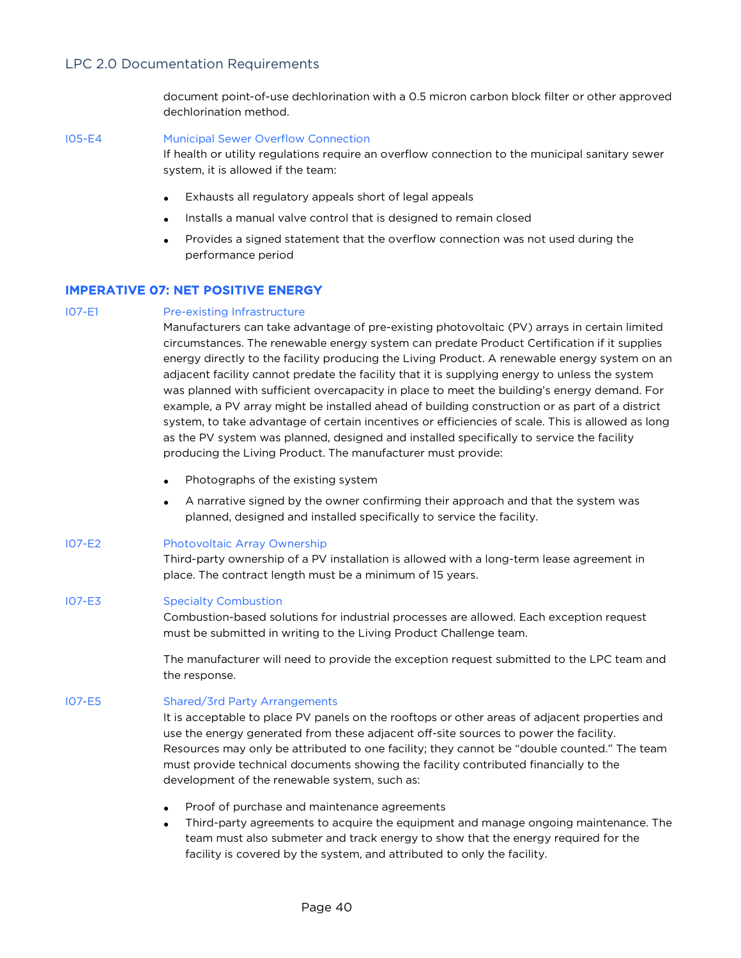document point-of-use dechlorination with a 0.5 micron carbon block filter or other approved dechlorination method.

I05-E4 Municipal Sewer Overflow Connection

If health or utility regulations require an overflow connection to the municipal sanitary sewer system, it is allowed if the team:

- Exhausts all regulatory appeals short of legal appeals
- Installs a manual valve control that is designed to remain closed
- Provides a signed statement that the overflow connection was not used during the performance period

#### IMPERATIVE 07: NET POSITIVE ENERGY

#### IO7-E1 Pre-existing Infrastructure

Manufacturers can take advantage of pre-existing photovoltaic (PV) arrays in certain limited circumstances. The renewable energy system can predate Product Certification if it supplies energy directly to the facility producing the Living Product. A renewable energy system on an adjacent facility cannot predate the facility that it is supplying energy to unless the system was planned with sufficient overcapacity in place to meet the building's energy demand. For example, a PV array might be installed ahead of building construction or as part of a district system, to take advantage of certain incentives or efficiencies of scale. This is allowed as long as the PV system was planned, designed and installed specifically to service the facility producing the Living Product. The manufacturer must provide:

- Photographs of the existing system
- A narrative signed by the owner confirming their approach and that the system was planned, designed and installed specifically to service the facility.
- I07-E2 Photovoltaic Array Ownership

Third-party ownership of a PV installation is allowed with a long-term lease agreement in place. The contract length must be a minimum of 15 years.

#### I07-E3 Specialty Combustion

Combustion-based solutions for industrial processes are allowed. Each exception request must be submitted in writing to the Living Product Challenge team.

The manufacturer will need to provide the exception request submitted to the LPC team and the response.

I07-E5 Shared/3rd Party Arrangements

It is acceptable to place PV panels on the rooftops or other areas of adjacent properties and use the energy generated from these adjacent off-site sources to power the facility. Resources may only be attributed to one facility; they cannot be "double counted." The team must provide technical documents showing the facility contributed financially to the development of the renewable system, such as:

- Proof of purchase and maintenance agreements
- Third-party agreements to acquire the equipment and manage ongoing maintenance. The team must also submeter and track energy to show that the energy required for the facility is covered by the system, and attributed to only the facility.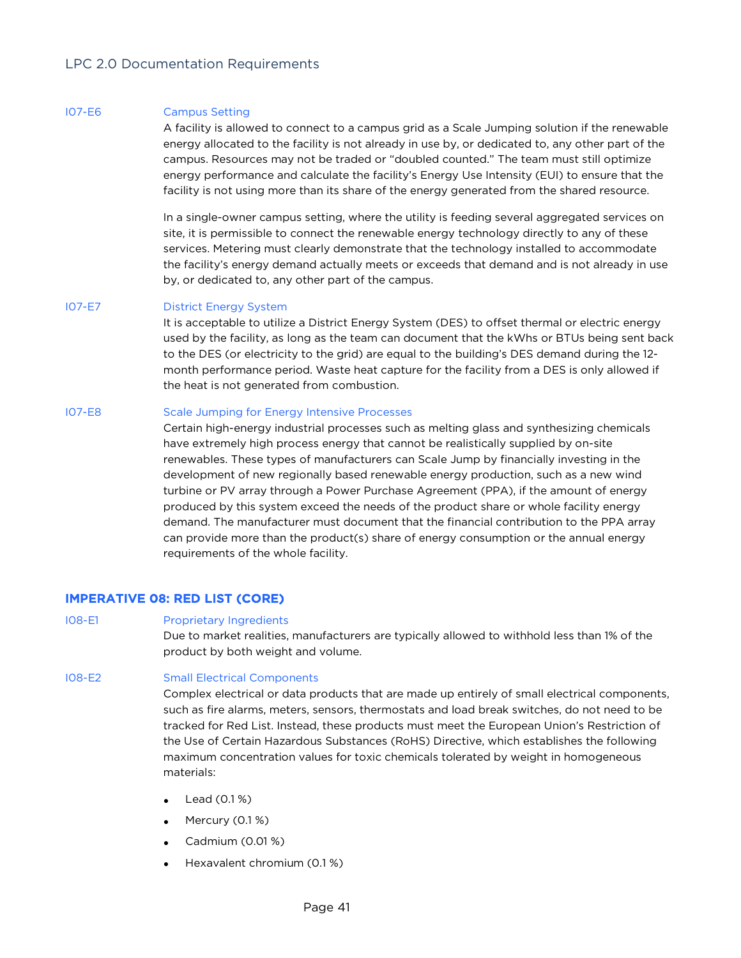#### I07-E6 Campus Setting

A facility is allowed to connect to a campus grid as a Scale Jumping solution if the renewable energy allocated to the facility is not already in use by, or dedicated to, any other part of the campus. Resources may not be traded or "doubled counted." The team must still optimize energy performance and calculate the facility's Energy Use Intensity (EUI) to ensure that the facility is not using more than its share of the energy generated from the shared resource.

In a single-owner campus setting, where the utility is feeding several aggregated services on site, it is permissible to connect the renewable energy technology directly to any of these services. Metering must clearly demonstrate that the technology installed to accommodate the facility's energy demand actually meets or exceeds that demand and is not already in use by, or dedicated to, any other part of the campus.

#### I07-E7 District Energy System

It is acceptable to utilize a District Energy System (DES) to offset thermal or electric energy used by the facility, as long as the team can document that the kWhs or BTUs being sent back to the DES (or electricity to the grid) are equal to the building's DES demand during the 12 month performance period. Waste heat capture for the facility from a DES is only allowed if the heat is not generated from combustion.

### I07-E8 Scale Jumping for Energy Intensive Processes

Certain high-energy industrial processes such as melting glass and synthesizing chemicals have extremely high process energy that cannot be realistically supplied by on-site renewables. These types of manufacturers can Scale Jump by financially investing in the development of new regionally based renewable energy production, such as a new wind turbine or PV array through a Power Purchase Agreement (PPA), if the amount of energy produced by this system exceed the needs of the product share or whole facility energy demand. The manufacturer must document that the financial contribution to the PPA array can provide more than the product(s) share of energy consumption or the annual energy requirements of the whole facility.

### IMPERATIVE 08: RED LIST (CORE)

I08-E1 Proprietary Ingredients

Due to market realities, manufacturers are typically allowed to withhold less than 1% of the product by both weight and volume.

### I08-E2 Small Electrical Components

Complex electrical or data products that are made up entirely of small electrical components, such as fire alarms, meters, sensors, thermostats and load break switches, do not need to be tracked for Red List. Instead, these products must meet the European Union's Restriction of the Use of Certain Hazardous Substances (RoHS) Directive, which establishes the following maximum concentration values for toxic chemicals tolerated by weight in homogeneous materials:

- Lead (0.1 %)
- Mercury (0.1%)
- Cadmium (0.01 %)
- Hexavalent chromium (0.1 %)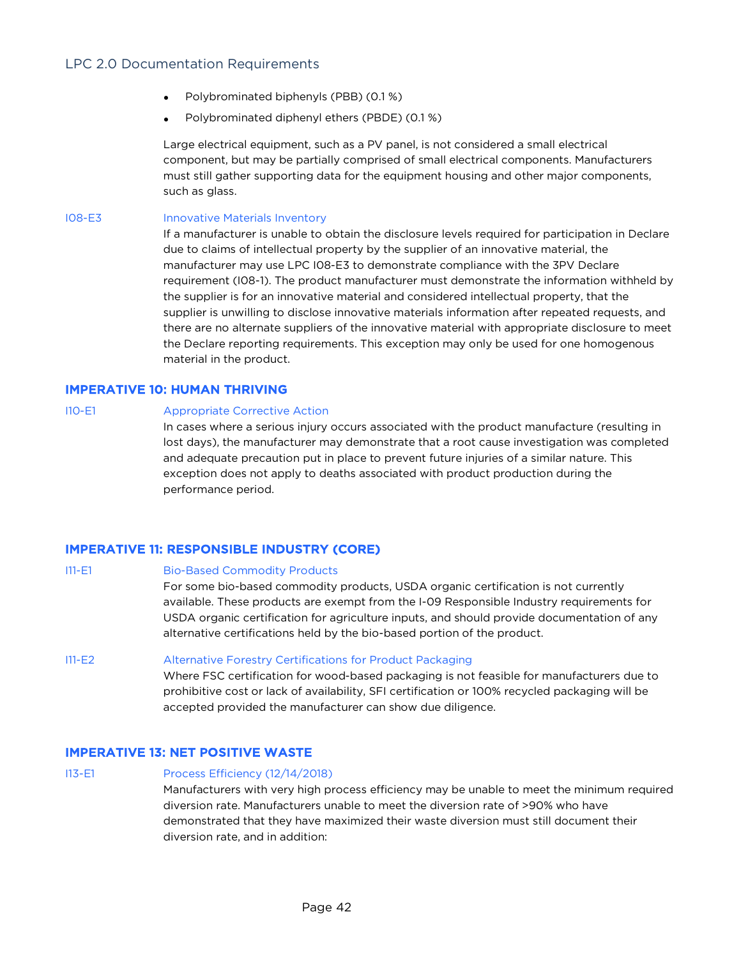- Polybrominated biphenyls (PBB) (0.1 %)
- Polybrominated diphenyl ethers (PBDE) (0.1 %)

Large electrical equipment, such as a PV panel, is not considered a small electrical component, but may be partially comprised of small electrical components. Manufacturers must still gather supporting data for the equipment housing and other major components, such as glass.

I08-E3 Innovative Materials Inventory

If a manufacturer is unable to obtain the disclosure levels required for participation in Declare due to claims of intellectual property by the supplier of an innovative material, the manufacturer may use LPC I08-E3 to demonstrate compliance with the 3PV Declare requirement (I08-1). The product manufacturer must demonstrate the information withheld by the supplier is for an innovative material and considered intellectual property, that the supplier is unwilling to disclose innovative materials information after repeated requests, and there are no alternate suppliers of the innovative material with appropriate disclosure to meet the Declare reporting requirements. This exception may only be used for one homogenous material in the product.

# IMPERATIVE 10: HUMAN THRIVING

I10-E1 Appropriate Corrective Action

In cases where a serious injury occurs associated with the product manufacture (resulting in lost days), the manufacturer may demonstrate that a root cause investigation was completed and adequate precaution put in place to prevent future injuries of a similar nature. This exception does not apply to deaths associated with product production during the performance period.

# IMPERATIVE 11: RESPONSIBLE INDUSTRY (CORE)

I11-E1 Bio-Based Commodity Products For some bio-based commodity products, USDA organic certification is not currently available. These products are exempt from the I-09 Responsible Industry requirements for USDA organic certification for agriculture inputs, and should provide documentation of any alternative certifications held by the bio-based portion of the product. I11-E2 Alternative Forestry Certifications for Product Packaging Where FSC certification for wood-based packaging is not feasible for manufacturers due to prohibitive cost or lack of availability, SFI certification or 100% recycled packaging will be

# IMPERATIVE 13: NET POSITIVE WASTE

# I13-E1 Process Efficiency (12/14/2018) Manufacturers with very high process efficiency may be unable to meet the minimum required diversion rate. Manufacturers unable to meet the diversion rate of >90% who have demonstrated that they have maximized their waste diversion must still document their diversion rate, and in addition:

accepted provided the manufacturer can show due diligence.